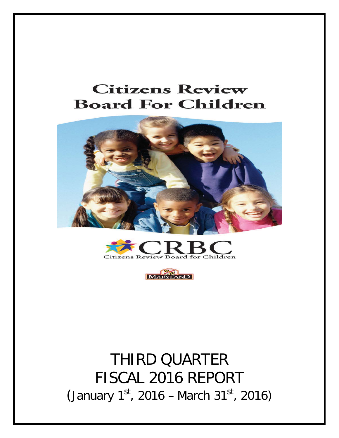# **Citizens Review Board For Children**







# THIRD QUARTER FISCAL 2016 REPORT (January  $1^{st}$ , 2016 – March 31 $st$ , 2016)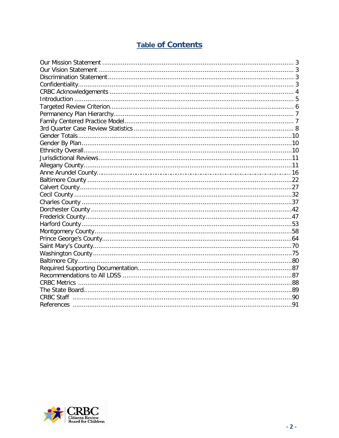# **Table of Contents**

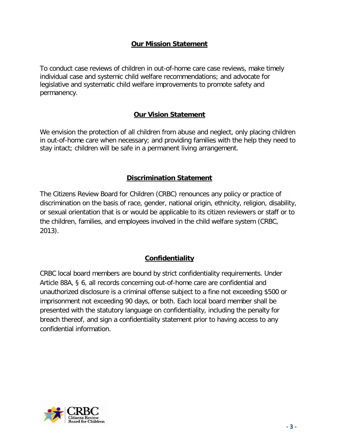## **Our Mission Statement**

<span id="page-2-0"></span>To conduct case reviews of children in out-of-home care case reviews, make timely individual case and systemic child welfare recommendations; and advocate for legislative and systematic child welfare improvements to promote safety and permanency.

## **Our Vision Statement**

<span id="page-2-1"></span>We envision the protection of all children from abuse and neglect, only placing children in out-of-home care when necessary; and providing families with the help they need to stay intact; children will be safe in a permanent living arrangement.

## **Discrimination Statement**

<span id="page-2-2"></span>The Citizens Review Board for Children (CRBC) renounces any policy or practice of discrimination on the basis of race, gender, national origin, ethnicity, religion, disability, or sexual orientation that is or would be applicable to its citizen reviewers or staff or to the children, families, and employees involved in the child welfare system (CRBC, 2013).

## **Confidentiality**

<span id="page-2-3"></span>CRBC local board members are bound by strict confidentiality requirements. Under Article 88A, § 6, all records concerning out-of-home care are confidential and unauthorized disclosure is a criminal offense subject to a fine not exceeding \$500 or imprisonment not exceeding 90 days, or both. Each local board member shall be presented with the statutory language on confidentiality, including the penalty for breach thereof, and sign a confidentiality statement prior to having access to any confidential information.

<span id="page-2-4"></span>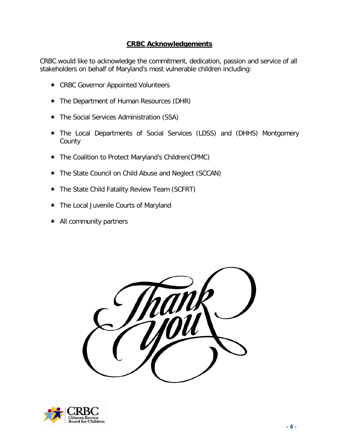## **CRBC Acknowledgements**

CRBC would like to acknowledge the commitment, dedication, passion and service of all stakeholders on behalf of Maryland's most vulnerable children including:

- **★ CRBC Governor Appointed Volunteers**
- \* The Department of Human Resources (DHR)
- The Social Services Administration (SSA)
- The Local Departments of Social Services (LDSS) and (DHHS) Montgomery County
- \* The Coalition to Protect Maryland's Children(CPMC)
- \* The State Council on Child Abuse and Neglect (SCCAN)
- The State Child Fatality Review Team (SCFRT)
- **★** The Local Juvenile Courts of Maryland
- $\star$  All community partners



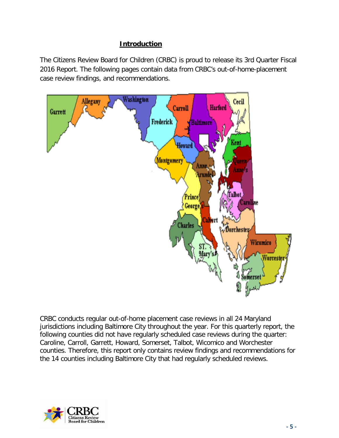# **Introduction**

<span id="page-4-0"></span>The Citizens Review Board for Children (CRBC) is proud to release its 3rd Quarter Fiscal 2016 Report. The following pages contain data from CRBC's out-of-home-placement case review findings, and recommendations.



CRBC conducts regular out-of-home placement case reviews in all 24 Maryland jurisdictions including Baltimore City throughout the year. For this quarterly report, the following counties did not have regularly scheduled case reviews during the quarter: Caroline, Carroll, Garrett, Howard, Somerset, Talbot, Wicomico and Worchester counties. Therefore, this report only contains review findings and recommendations for the 14 counties including Baltimore City that had regularly scheduled reviews.

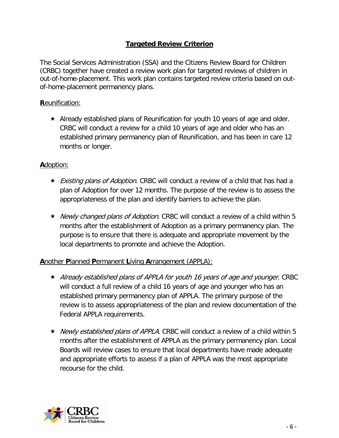# **Targeted Review Criterion**

The Social Services Administration (SSA) and the Citizens Review Board for Children (CRBC) together have created a review work plan for targeted reviews of children in out-of-home-placement. This work plan contains targeted review criteria based on outof-home-placement permanency plans.

## **R**eunification:

 $\star$  Already established plans of Reunification for youth 10 years of age and older. CRBC will conduct a review for a child 10 years of age and older who has an established primary permanency plan of Reunification, and has been in care 12 months or longer.

## **A**doption:

- ★ *Existing plans of Adoption*. CRBC will conduct a review of a child that has had a plan of Adoption for over 12 months. The purpose of the review is to assess the appropriateness of the plan and identify barriers to achieve the plan.
- ★ Newly changed plans of Adoption. CRBC will conduct a review of a child within 5 months after the establishment of Adoption as a primary permanency plan. The purpose is to ensure that there is adequate and appropriate movement by the local departments to promote and achieve the Adoption.

## **A**nother **P**lanned **P**ermanent **L**iving **A**rrangement (APPLA):

- $\star$  Already established plans of APPLA for youth 16 years of age and younger. CRBC will conduct a full review of a child 16 years of age and younger who has an established primary permanency plan of APPLA. The primary purpose of the review is to assess appropriateness of the plan and review documentation of the Federal APPLA requirements.
- ★ Newly established plans of APPLA. CRBC will conduct a review of a child within 5 months after the establishment of APPLA as the primary permanency plan. Local Boards will review cases to ensure that local departments have made adequate and appropriate efforts to assess if a plan of APPLA was the most appropriate recourse for the child.

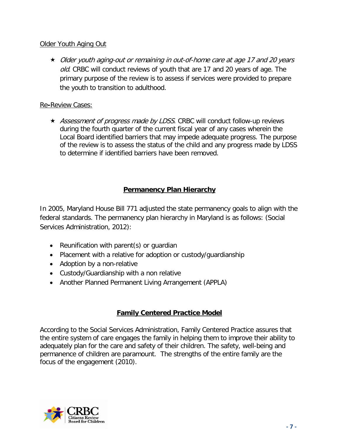## Older Youth Aging Out

 Older youth aging-out or remaining in out-of-home care at age 17 and 20 years old. CRBC will conduct reviews of youth that are 17 and 20 years of age. The primary purpose of the review is to assess if services were provided to prepare the youth to transition to adulthood.

## Re**-**Review Cases:

★ *Assessment of progress made by LDSS*. CRBC will conduct follow-up reviews during the fourth quarter of the current fiscal year of any cases wherein the Local Board identified barriers that may impede adequate progress. The purpose of the review is to assess the status of the child and any progress made by LDSS to determine if identified barriers have been removed.

# **Permanency Plan Hierarchy**

<span id="page-6-0"></span>In 2005, Maryland House Bill 771 adjusted the state permanency goals to align with the federal standards. The permanency plan hierarchy in Maryland is as follows: (Social Services Administration, 2012):

- Reunification with parent(s) or guardian
- Placement with a relative for adoption or custody/guardianship
- Adoption by a non-relative
- Custody/Guardianship with a non relative
- Another Planned Permanent Living Arrangement (APPLA)

# **Family Centered Practice Model**

<span id="page-6-1"></span>According to the Social Services Administration, Family Centered Practice assures that the entire system of care engages the family in helping them to improve their ability to adequately plan for the care and safety of their children. The safety, well-being and permanence of children are paramount. The strengths of the entire family are the focus of the engagement (2010).

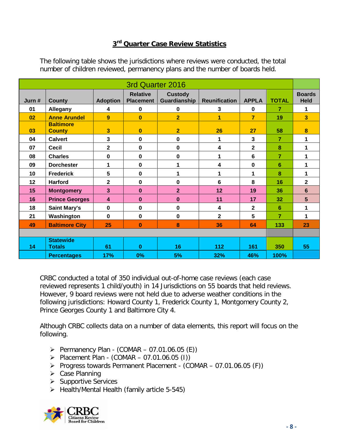# **3rd Quarter Case Review Statistics**

| 3rd Quarter 2016 |                                   |                 |                                     |                                |                         |                |                 |                              |
|------------------|-----------------------------------|-----------------|-------------------------------------|--------------------------------|-------------------------|----------------|-----------------|------------------------------|
| Jurn #           | <b>County</b>                     | <b>Adoption</b> | <b>Relative</b><br><b>Placement</b> | <b>Custody</b><br>Guardianship | <b>Reunification</b>    | <b>APPLA</b>   | <b>TOTAL</b>    | <b>Boards</b><br><b>Held</b> |
| 01               | Allegany                          | 4               | $\mathbf 0$                         | $\mathbf 0$                    | $\mathbf{3}$            | $\mathbf 0$    | 7               | 1                            |
| 02               | <b>Anne Arundel</b>               | 9               | $\mathbf{0}$                        | $\overline{2}$                 | 1                       | $\overline{7}$ | 19              | 3                            |
| 03               | <b>Baltimore</b><br><b>County</b> | 3               | $\bf{0}$                            | $\overline{2}$                 | 26                      | 27             | 58              | 8                            |
| 04               | <b>Calvert</b>                    | 3               | 0                                   | 0                              | 1                       | 3              | 7               | 1                            |
| 07               | <b>Cecil</b>                      | $\mathbf 2$     | 0                                   | 0                              | 4                       | $\mathbf 2$    | 8               | 1                            |
| 08               | <b>Charles</b>                    | $\mathbf 0$     | $\mathbf 0$                         | $\mathbf 0$                    | 1                       | $6\phantom{a}$ | $\overline{7}$  | 1                            |
| 09               | <b>Dorchester</b>                 | 1               | $\mathbf 0$                         | 1                              | 4                       | $\mathbf 0$    | $6\phantom{1}6$ | 1                            |
| 10               | <b>Frederick</b>                  | 5               | 0                                   | 1                              | 1                       | 1              | 8               | 1                            |
| 12               | <b>Harford</b>                    | $\mathbf 2$     | 0                                   | 0                              | $6\phantom{1}6$         | 8              | 16              | $\mathbf 2$                  |
| 15               | <b>Montgomery</b>                 | 3               | 0                                   | $\overline{2}$                 | 12                      | 19             | 36              | 6                            |
| 16               | <b>Prince Georges</b>             | 4               | $\bf{0}$                            | $\bf{0}$                       | 11                      | 17             | 32              | 5                            |
| 18               | <b>Saint Mary's</b>               | 0               | 0                                   | $\mathbf 0$                    | $\overline{\mathbf{4}}$ | $\overline{2}$ | $6\phantom{1}6$ | 1                            |
| 21               | Washington                        | 0               | 0                                   | $\mathbf 0$                    | $\overline{2}$          | 5              | $\overline{7}$  | 1                            |
| 49               | <b>Baltimore City</b>             | 25              | $\bf{0}$                            | 8                              | 36                      | 64             | 133             | 23                           |
|                  |                                   |                 |                                     |                                |                         |                |                 |                              |
| 14               | <b>Statewide</b><br><b>Totals</b> | 61              | $\bf{0}$                            | 16                             | 112                     | 161            | 350             | 55                           |
|                  | <b>Percentages</b>                | 17%             | 0%                                  | 5%                             | 32%                     | 46%            | 100%            |                              |

The following table shows the jurisdictions where reviews were conducted, the total number of children reviewed, permanency plans and the number of boards held.

CRBC conducted a total of 350 individual out-of-home case reviews (each case reviewed represents 1 child/youth) in 14 Jurisdictions on 55 boards that held reviews. However, 9 board reviews were not held due to adverse weather conditions in the following jurisdictions: Howard County 1, Frederick County 1, Montgomery County 2, Prince Georges County 1 and Baltimore City 4.

Although CRBC collects data on a number of data elements, this report will focus on the following.

- $\triangleright$  Permanency Plan (COMAR 07.01.06.05 (E))
- $\triangleright$  Placement Plan (COMAR 07.01.06.05 (I))
- Progress towards Permanent Placement (COMAR 07.01.06.05 (F))
- $\triangleright$  Case Planning
- $\triangleright$  Supportive Services
- $\triangleright$  Health/Mental Health (family article 5-545)

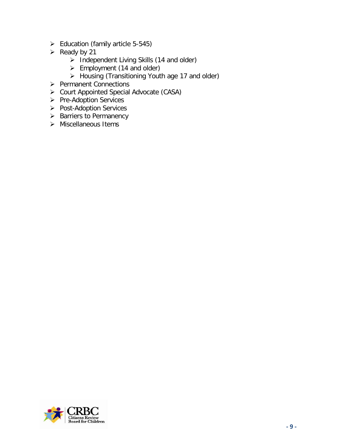- $\geq$  Education (family article 5-545)
- $\triangleright$  Ready by 21
	- $\triangleright$  Independent Living Skills (14 and older)
	- $\triangleright$  Employment (14 and older)
	- $\triangleright$  Housing (Transitioning Youth age 17 and older)
- Permanent Connections
- Court Appointed Special Advocate (CASA)
- Pre-Adoption Services
- > Post-Adoption Services
- > Barriers to Permanency
- <span id="page-8-0"></span> $\triangleright$  Miscellaneous Items

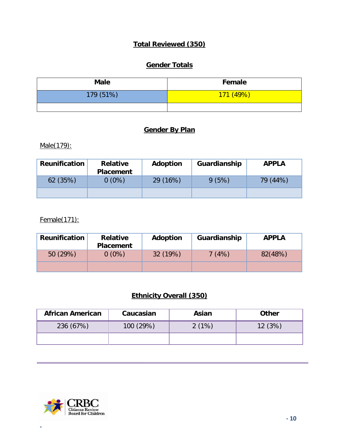# **Total Reviewed (350)**

# **Gender Totals**

| <b>Male</b> | Female    |
|-------------|-----------|
| 179 (51%)   | 171 (49%) |
|             |           |

# **Gender By Plan**

<span id="page-9-0"></span>Male(179):

| <b>Reunification</b> | <b>Relative</b><br><b>Placement</b> | Adoption | Guardianship | <b>APPLA</b> |
|----------------------|-------------------------------------|----------|--------------|--------------|
| 62(35%)              | $0(0\%)$                            | 29 (16%) | 9(5%)        | 79 (44%)     |
|                      |                                     |          |              |              |

## Female(171):

| <b>Reunification</b> | <b>Relative</b><br><b>Placement</b> | Adoption | Guardianship | <b>APPLA</b> |
|----------------------|-------------------------------------|----------|--------------|--------------|
| 50(29%)              | $0(0\%)$                            | 32 (19%) | 7(4%)        | 82(48%)      |
|                      |                                     |          |              |              |

# **Ethnicity Overall (350)**

<span id="page-9-1"></span>

| <b>African American</b> | Caucasian | Asian | <b>Other</b> |
|-------------------------|-----------|-------|--------------|
| 236 (67%)               | 100 (29%) | 2(1%) | 12(3%)       |
|                         |           |       |              |

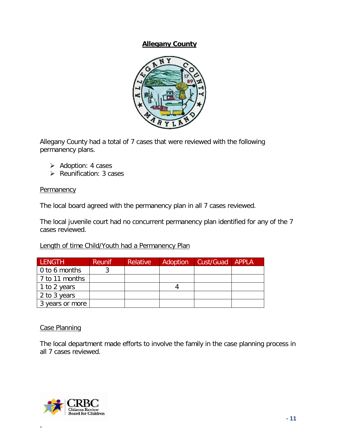## **Allegany County**



Allegany County had a total of 7 cases that were reviewed with the following permanency plans.

- $\triangleright$  Adoption: 4 cases
- $\triangleright$  Reunification: 3 cases

## **Permanency**

The local board agreed with the permanency plan in all 7 cases reviewed.

The local juvenile court had no concurrent permanency plan identified for any of the 7 cases reviewed.

Length of time Child/Youth had a Permanency Plan

| <b>LENGTH</b>         | <b>Reunif</b> | <b>Relative</b> | Adoption | Cust/Guad APPLA |  |
|-----------------------|---------------|-----------------|----------|-----------------|--|
| $\vert$ 0 to 6 months |               |                 |          |                 |  |
| 7 to 11 months        |               |                 |          |                 |  |
| 1 to 2 years          |               |                 |          |                 |  |
| 2 to 3 years          |               |                 |          |                 |  |
| 3 years or more       |               |                 |          |                 |  |

## Case Planning

The local department made efforts to involve the family in the case planning process in all 7 cases reviewed.

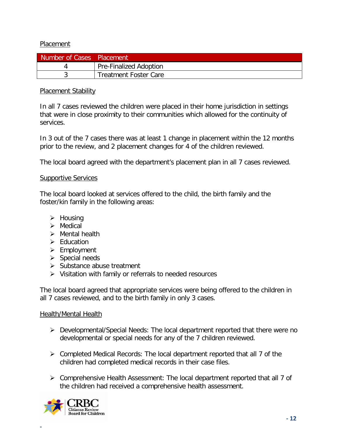## Placement

| Number of Cases   Placement |                               |
|-----------------------------|-------------------------------|
|                             | <b>Pre-Finalized Adoption</b> |
|                             | <b>Treatment Foster Care</b>  |

## **Placement Stability**

In all 7 cases reviewed the children were placed in their home jurisdiction in settings that were in close proximity to their communities which allowed for the continuity of services.

In 3 out of the 7 cases there was at least 1 change in placement within the 12 months prior to the review, and 2 placement changes for 4 of the children reviewed.

The local board agreed with the department's placement plan in all 7 cases reviewed.

## **Supportive Services**

The local board looked at services offered to the child, the birth family and the foster/kin family in the following areas:

- $\triangleright$  Housing
- $\triangleright$  Medical
- $\triangleright$  Mental health
- $\triangleright$  Education
- $\triangleright$  Employment
- $\triangleright$  Special needs
- $\triangleright$  Substance abuse treatment
- $\triangleright$  Visitation with family or referrals to needed resources

The local board agreed that appropriate services were being offered to the children in all 7 cases reviewed, and to the birth family in only 3 cases.

## Health/Mental Health

- Developmental/Special Needs: The local department reported that there were no developmental or special needs for any of the 7 children reviewed.
- $\triangleright$  Completed Medical Records: The local department reported that all 7 of the children had completed medical records in their case files.
- Comprehensive Health Assessment: The local department reported that all 7 of the children had received a comprehensive health assessment.

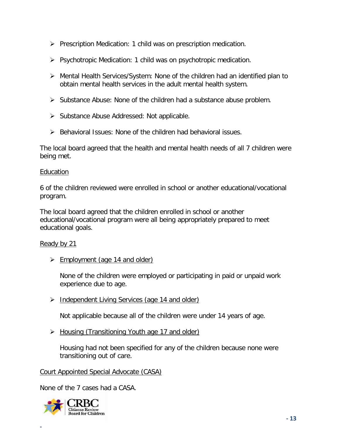- $\triangleright$  Prescription Medication: 1 child was on prescription medication.
- $\triangleright$  Psychotropic Medication: 1 child was on psychotropic medication.
- $\triangleright$  Mental Health Services/System: None of the children had an identified plan to obtain mental health services in the adult mental health system.
- $\triangleright$  Substance Abuse: None of the children had a substance abuse problem.
- $\triangleright$  Substance Abuse Addressed: Not applicable.
- $\triangleright$  Behavioral Issues: None of the children had behavioral issues.

The local board agreed that the health and mental health needs of all 7 children were being met.

#### Education

6 of the children reviewed were enrolled in school or another educational/vocational program.

The local board agreed that the children enrolled in school or another educational/vocational program were all being appropriately prepared to meet educational goals.

## Ready by 21

 $\triangleright$  Employment (age 14 and older)

None of the children were employed or participating in paid or unpaid work experience due to age.

Independent Living Services (age 14 and older)

Not applicable because all of the children were under 14 years of age.

▶ Housing (Transitioning Youth age 17 and older)

Housing had not been specified for any of the children because none were transitioning out of care.

## Court Appointed Special Advocate (CASA)

None of the 7 cases had a CASA.

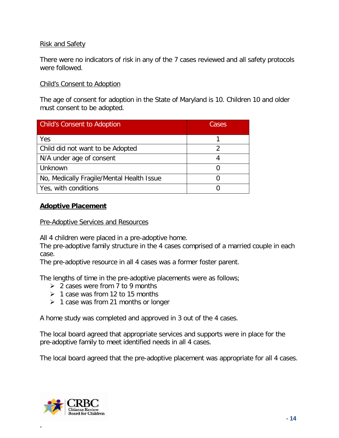## Risk and Safety

There were no indicators of risk in any of the 7 cases reviewed and all safety protocols were followed.

## Child's Consent to Adoption

The age of consent for adoption in the State of Maryland is 10. Children 10 and older must consent to be adopted.

| <b>Child's Consent to Adoption</b>        | Cases |
|-------------------------------------------|-------|
| Yes                                       |       |
| Child did not want to be Adopted          |       |
| N/A under age of consent                  |       |
| Unknown                                   |       |
| No, Medically Fragile/Mental Health Issue |       |
| Yes, with conditions                      |       |

## **Adoptive Placement**

Pre-Adoptive Services and Resources

All 4 children were placed in a pre-adoptive home.

The pre-adoptive family structure in the 4 cases comprised of a married couple in each case.

The pre-adoptive resource in all 4 cases was a former foster parent.

The lengths of time in the pre-adoptive placements were as follows;

- $\geq 2$  cases were from 7 to 9 months
- $\geq 1$  case was from 12 to 15 months
- $\geq 1$  case was from 21 months or longer

A home study was completed and approved in 3 out of the 4 cases.

The local board agreed that appropriate services and supports were in place for the pre-adoptive family to meet identified needs in all 4 cases.

The local board agreed that the pre-adoptive placement was appropriate for all 4 cases.

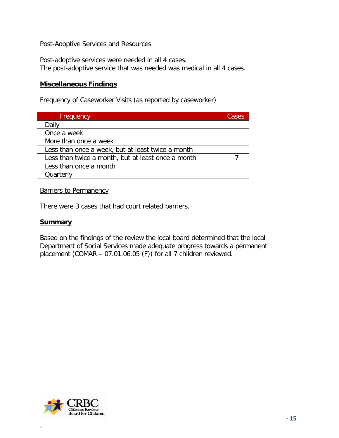## Post-Adoptive Services and Resources

Post-adoptive services were needed in all 4 cases. The post-adoptive service that was needed was medical in all 4 cases.

## **Miscellaneous Findings**

Frequency of Caseworker Visits (as reported by caseworker)

| Frequency                                          | Cases |
|----------------------------------------------------|-------|
| Daily                                              |       |
| Once a week                                        |       |
| More than once a week                              |       |
| Less than once a week, but at least twice a month  |       |
| Less than twice a month, but at least once a month |       |
| Less than once a month                             |       |
| Quarterly                                          |       |

## Barriers to Permanency

There were 3 cases that had court related barriers.

## **Summary**

Based on the findings of the review the local board determined that the local Department of Social Services made adequate progress towards a permanent placement (COMAR – 07.01.06.05 (F)) for all 7 children reviewed.

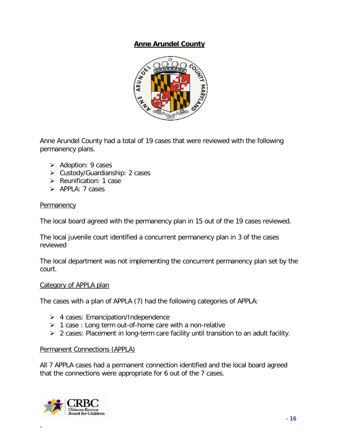## **Anne Arundel County**



Anne Arundel County had a total of 19 cases that were reviewed with the following permanency plans.

- $\triangleright$  Adoption: 9 cases
- Custody/Guardianship: 2 cases
- $\triangleright$  Reunification: 1 case
- $\triangleright$  APPLA: 7 cases

## **Permanency**

The local board agreed with the permanency plan in 15 out of the 19 cases reviewed.

The local juvenile court identified a concurrent permanency plan in 3 of the cases reviewed

The local department was not implementing the concurrent permanency plan set by the court.

## Category of APPLA plan

The cases with a plan of APPLA (7) had the following categories of APPLA:

- $\triangleright$  4 cases: Emancipation/Independence
- $\geq 1$  case : Long term out-of-home care with a non-relative
- $\geq 2$  cases: Placement in long-term care facility until transition to an adult facility.

## Permanent Connections (APPLA)

All 7 APPLA cases had a permanent connection identified and the local board agreed that the connections were appropriate for 6 out of the 7 cases.

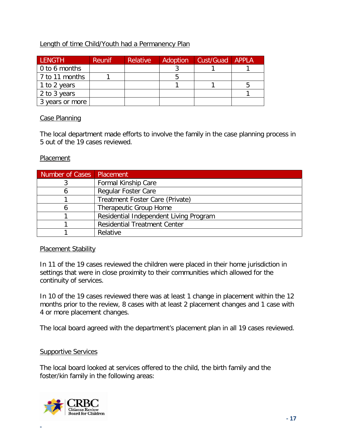## Length of time Child/Youth had a Permanency Plan

| <b>LENGTH</b>          | <b>Reunif</b> | <b>Relative</b> | Adoption | Cust/Guad APPLA |  |
|------------------------|---------------|-----------------|----------|-----------------|--|
| $\vert$ 0 to 6 months  |               |                 |          |                 |  |
| $\vert$ 7 to 11 months |               |                 |          |                 |  |
| 1 to 2 years           |               |                 |          |                 |  |
| 2 to 3 years           |               |                 |          |                 |  |
| 3 years or more        |               |                 |          |                 |  |

## Case Planning

The local department made efforts to involve the family in the case planning process in 5 out of the 19 cases reviewed.

## Placement

| Number of Cases Placement |                                        |
|---------------------------|----------------------------------------|
|                           | Formal Kinship Care                    |
|                           | <b>Regular Foster Care</b>             |
|                           | Treatment Foster Care (Private)        |
|                           | Therapeutic Group Home                 |
|                           | Residential Independent Living Program |
|                           | <b>Residential Treatment Center</b>    |
|                           | Relative                               |

## Placement Stability

In 11 of the 19 cases reviewed the children were placed in their home jurisdiction in settings that were in close proximity to their communities which allowed for the continuity of services.

In 10 of the 19 cases reviewed there was at least 1 change in placement within the 12 months prior to the review, 8 cases with at least 2 placement changes and 1 case with 4 or more placement changes.

The local board agreed with the department's placement plan in all 19 cases reviewed.

## Supportive Services

The local board looked at services offered to the child, the birth family and the foster/kin family in the following areas:

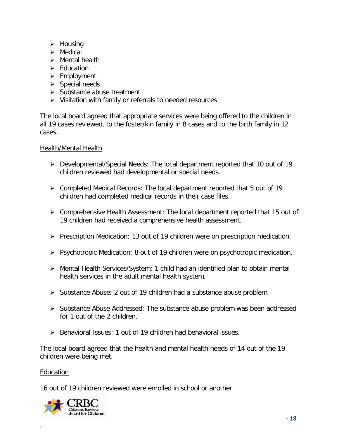- $\triangleright$  Housing
- $\triangleright$  Medical
- $\triangleright$  Mental health
- $\triangleright$  Fducation
- $\triangleright$  Employment
- $\triangleright$  Special needs
- $\triangleright$  Substance abuse treatment
- $\triangleright$  Visitation with family or referrals to needed resources

The local board agreed that appropriate services were being offered to the children in all 19 cases reviewed, to the foster/kin family in 8 cases and to the birth family in 12 cases.

## Health/Mental Health

- Developmental/Special Needs: The local department reported that 10 out of 19 children reviewed had developmental or special needs.
- Completed Medical Records: The local department reported that 5 out of 19 children had completed medical records in their case files.
- Comprehensive Health Assessment: The local department reported that 15 out of 19 children had received a comprehensive health assessment.
- $\triangleright$  Prescription Medication: 13 out of 19 children were on prescription medication.
- Psychotropic Medication: 8 out of 19 children were on psychotropic medication.
- Mental Health Services/System: 1 child had an identified plan to obtain mental health services in the adult mental health system.
- $\triangleright$  Substance Abuse: 2 out of 19 children had a substance abuse problem.
- $\triangleright$  Substance Abuse Addressed: The substance abuse problem was been addressed for 1 out of the 2 children.
- $\triangleright$  Behavioral Issues: 1 out of 19 children had behavioral issues.

The local board agreed that the health and mental health needs of 14 out of the 19 children were being met.

## Education

**-**

16 out of 19 children reviewed were enrolled in school or another

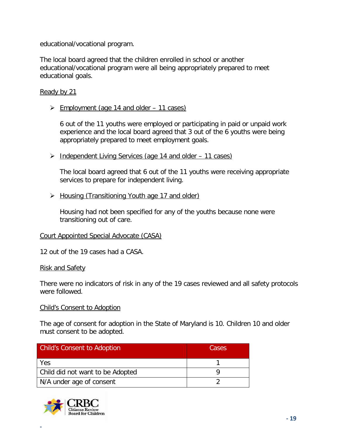educational/vocational program.

The local board agreed that the children enrolled in school or another educational/vocational program were all being appropriately prepared to meet educational goals.

## Ready by 21

 $\triangleright$  Employment (age 14 and older – 11 cases)

6 out of the 11 youths were employed or participating in paid or unpaid work experience and the local board agreed that 3 out of the 6 youths were being appropriately prepared to meet employment goals.

> Independent Living Services (age 14 and older – 11 cases)

The local board agreed that 6 out of the 11 youths were receiving appropriate services to prepare for independent living.

▶ Housing (Transitioning Youth age 17 and older)

Housing had not been specified for any of the youths because none were transitioning out of care.

## Court Appointed Special Advocate (CASA)

12 out of the 19 cases had a CASA.

## Risk and Safety

There were no indicators of risk in any of the 19 cases reviewed and all safety protocols were followed.

## Child's Consent to Adoption

The age of consent for adoption in the State of Maryland is 10. Children 10 and older must consent to be adopted.

| <b>Child's Consent to Adoption</b> | Cases |  |
|------------------------------------|-------|--|
| Yes                                |       |  |
| Child did not want to be Adopted   |       |  |
| N/A under age of consent           |       |  |

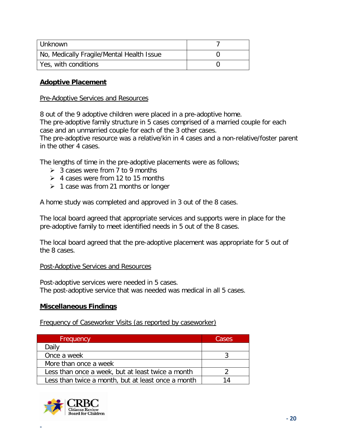| Unknown                                   |  |
|-------------------------------------------|--|
| No, Medically Fragile/Mental Health Issue |  |
| Yes, with conditions                      |  |

## **Adoptive Placement**

#### Pre-Adoptive Services and Resources

8 out of the 9 adoptive children were placed in a pre-adoptive home.

The pre-adoptive family structure in 5 cases comprised of a married couple for each case and an unmarried couple for each of the 3 other cases.

The pre-adoptive resource was a relative/kin in 4 cases and a non-relative/foster parent in the other 4 cases.

The lengths of time in the pre-adoptive placements were as follows;

- $\geq 3$  cases were from 7 to 9 months
- $\geq 4$  cases were from 12 to 15 months
- $\geq 1$  case was from 21 months or longer

A home study was completed and approved in 3 out of the 8 cases.

The local board agreed that appropriate services and supports were in place for the pre-adoptive family to meet identified needs in 5 out of the 8 cases.

The local board agreed that the pre-adoptive placement was appropriate for 5 out of the 8 cases.

## Post-Adoptive Services and Resources

Post-adoptive services were needed in 5 cases. The post-adoptive service that was needed was medical in all 5 cases.

## **Miscellaneous Findings**

Frequency of Caseworker Visits (as reported by caseworker)

| Frequency                                          | Cases |
|----------------------------------------------------|-------|
| Daily                                              |       |
| Once a week                                        |       |
| More than once a week                              |       |
| Less than once a week, but at least twice a month  |       |
| Less than twice a month, but at least once a month | 14    |

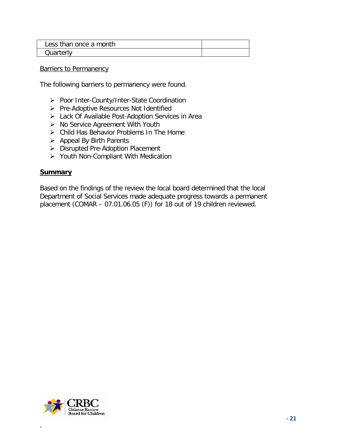| Less than once a month |  |
|------------------------|--|
| Quarterly              |  |

Barriers to Permanency

The following barriers to permanency were found.

- ▶ Poor Inter-County/Inter-State Coordination
- $\triangleright$  Pre-Adoptive Resources Not Identified
- Lack Of Available Post-Adoption Services in Area
- $\triangleright$  No Service Agreement With Youth
- Child Has Behavior Problems In The Home
- $\triangleright$  Appeal By Birth Parents
- ▶ Disrupted Pre-Adoption Placement
- Youth Non-Compliant With Medication

## **Summary**

Based on the findings of the review the local board determined that the local Department of Social Services made adequate progress towards a permanent placement (COMAR – 07.01.06.05 (F)) for 18 out of 19 children reviewed.

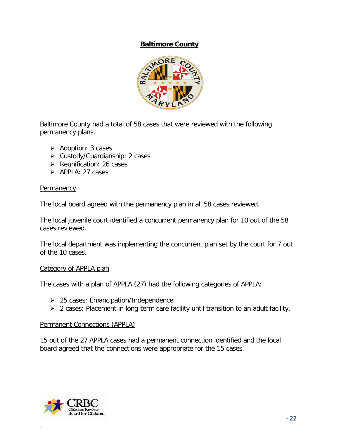## **Baltimore County**



<span id="page-21-0"></span>Baltimore County had a total of 58 cases that were reviewed with the following permanency plans.

- $\triangleright$  Adoption: 3 cases
- Custody/Guardianship: 2 cases
- $\triangleright$  Reunification: 26 cases
- $\triangleright$  APPLA: 27 cases

#### **Permanency**

The local board agreed with the permanency plan in all 58 cases reviewed.

The local juvenile court identified a concurrent permanency plan for 10 out of the 58 cases reviewed.

The local department was implementing the concurrent plan set by the court for 7 out of the 10 cases.

## Category of APPLA plan

The cases with a plan of APPLA (27) had the following categories of APPLA:

- $\geq$  25 cases: Emancipation/Independence
- $\triangleright$  2 cases: Placement in long-term care facility until transition to an adult facility.

## Permanent Connections (APPLA)

15 out of the 27 APPLA cases had a permanent connection identified and the local board agreed that the connections were appropriate for the 15 cases.

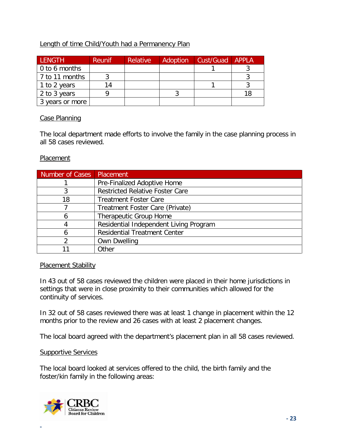## Length of time Child/Youth had a Permanency Plan

| <b>LENGTH</b>          | <b>Reunif</b> | <b>Relative</b> | Adoption | Cust/Guad | APPLA |
|------------------------|---------------|-----------------|----------|-----------|-------|
| $\vert$ 0 to 6 months  |               |                 |          |           |       |
| $\vert$ 7 to 11 months |               |                 |          |           |       |
| 1 to 2 years           | 14            |                 |          |           |       |
| 2 to 3 years           |               |                 |          |           |       |
| 3 years or more        |               |                 |          |           |       |

## Case Planning

The local department made efforts to involve the family in the case planning process in all 58 cases reviewed.

## Placement

| Number of Cases   Placement |                                        |
|-----------------------------|----------------------------------------|
|                             | Pre-Finalized Adoptive Home            |
|                             | <b>Restricted Relative Foster Care</b> |
| 18                          | <b>Treatment Foster Care</b>           |
|                             | Treatment Foster Care (Private)        |
| h                           | Therapeutic Group Home                 |
|                             | Residential Independent Living Program |
| n                           | <b>Residential Treatment Center</b>    |
| າ                           | <b>Own Dwelling</b>                    |
|                             | Other                                  |

## Placement Stability

In 43 out of 58 cases reviewed the children were placed in their home jurisdictions in settings that were in close proximity to their communities which allowed for the continuity of services.

In 32 out of 58 cases reviewed there was at least 1 change in placement within the 12 months prior to the review and 26 cases with at least 2 placement changes.

The local board agreed with the department's placement plan in all 58 cases reviewed.

## Supportive Services

The local board looked at services offered to the child, the birth family and the foster/kin family in the following areas:

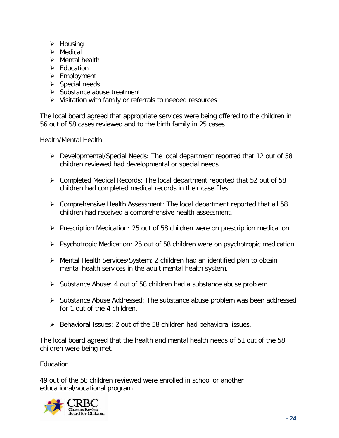- $\triangleright$  Housing
- $\triangleright$  Medical
- $\triangleright$  Mental health
- $\triangleright$  Fducation
- $\triangleright$  Employment
- $\triangleright$  Special needs
- $\triangleright$  Substance abuse treatment
- $\triangleright$  Visitation with family or referrals to needed resources

The local board agreed that appropriate services were being offered to the children in 56 out of 58 cases reviewed and to the birth family in 25 cases.

## Health/Mental Health

- Developmental/Special Needs: The local department reported that 12 out of 58 children reviewed had developmental or special needs.
- $\triangleright$  Completed Medical Records: The local department reported that 52 out of 58 children had completed medical records in their case files.
- $\triangleright$  Comprehensive Health Assessment: The local department reported that all 58 children had received a comprehensive health assessment.
- $\triangleright$  Prescription Medication: 25 out of 58 children were on prescription medication.
- $\triangleright$  Psychotropic Medication: 25 out of 58 children were on psychotropic medication.
- Mental Health Services/System: 2 children had an identified plan to obtain mental health services in the adult mental health system.
- $\triangleright$  Substance Abuse: 4 out of 58 children had a substance abuse problem.
- $\triangleright$  Substance Abuse Addressed: The substance abuse problem was been addressed for 1 out of the 4 children.
- $\triangleright$  Behavioral Issues: 2 out of the 58 children had behavioral issues.

The local board agreed that the health and mental health needs of 51 out of the 58 children were being met.

## Education

**-**

49 out of the 58 children reviewed were enrolled in school or another educational/vocational program.

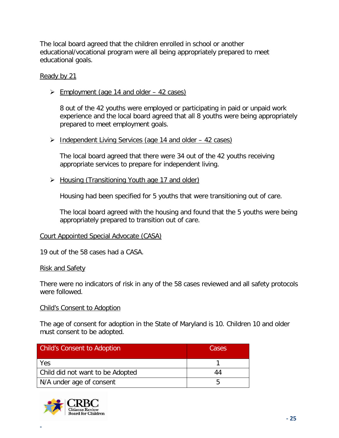The local board agreed that the children enrolled in school or another educational/vocational program were all being appropriately prepared to meet educational goals.

## Ready by 21

Employment (age 14 and older  $-$  42 cases)

8 out of the 42 youths were employed or participating in paid or unpaid work experience and the local board agreed that all 8 youths were being appropriately prepared to meet employment goals.

## $\triangleright$  Independent Living Services (age 14 and older  $-$  42 cases)

The local board agreed that there were 34 out of the 42 youths receiving appropriate services to prepare for independent living.

> Housing (Transitioning Youth age 17 and older)

Housing had been specified for 5 youths that were transitioning out of care.

The local board agreed with the housing and found that the 5 youths were being appropriately prepared to transition out of care.

## Court Appointed Special Advocate (CASA)

19 out of the 58 cases had a CASA.

## Risk and Safety

There were no indicators of risk in any of the 58 cases reviewed and all safety protocols were followed.

## Child's Consent to Adoption

The age of consent for adoption in the State of Maryland is 10. Children 10 and older must consent to be adopted.

| <b>Child's Consent to Adoption</b> | Cases |
|------------------------------------|-------|
| Yes                                |       |
| Child did not want to be Adopted   |       |
| N/A under age of consent           |       |

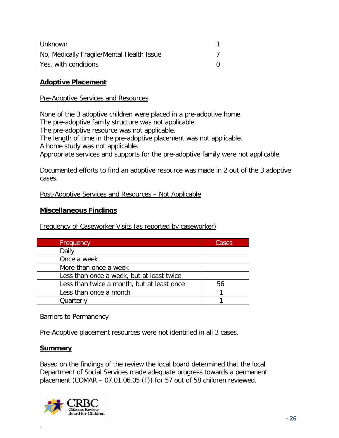| l Unknown                                 |  |
|-------------------------------------------|--|
| No, Medically Fragile/Mental Health Issue |  |
| Yes, with conditions                      |  |

## **Adoptive Placement**

#### Pre-Adoptive Services and Resources

None of the 3 adoptive children were placed in a pre-adoptive home.

The pre-adoptive family structure was not applicable.

The pre-adoptive resource was not applicable.

The length of time in the pre-adoptive placement was not applicable.

A home study was not applicable.

Appropriate services and supports for the pre-adoptive family were not applicable.

Documented efforts to find an adoptive resource was made in 2 out of the 3 adoptive cases.

## Post-Adoptive Services and Resources – Not Applicable

## **Miscellaneous Findings**

Frequency of Caseworker Visits (as reported by caseworker)

| Frequency                                  | Cases |
|--------------------------------------------|-------|
| Daily                                      |       |
| Once a week                                |       |
| More than once a week                      |       |
| Less than once a week, but at least twice  |       |
| Less than twice a month, but at least once | 56    |
| Less than once a month                     |       |
| Quarterly                                  |       |

## Barriers to Permanency

Pre-Adoptive placement resources were not identified in all 3 cases.

#### **Summary**

**-**

Based on the findings of the review the local board determined that the local Department of Social Services made adequate progress towards a permanent placement (COMAR – 07.01.06.05 (F)) for 57 out of 58 children reviewed.

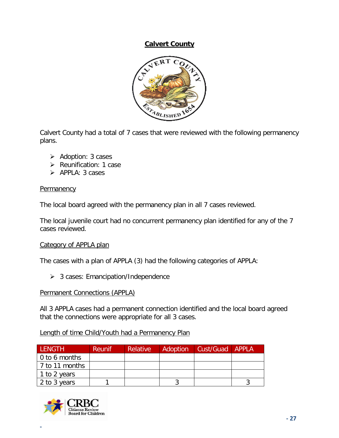## **Calvert County**



Calvert County had a total of 7 cases that were reviewed with the following permanency plans.

- $\triangleright$  Adoption: 3 cases
- $\triangleright$  Reunification: 1 case
- $\triangleright$  APPLA: 3 cases

## **Permanency**

The local board agreed with the permanency plan in all 7 cases reviewed.

The local juvenile court had no concurrent permanency plan identified for any of the 7 cases reviewed.

## Category of APPLA plan

The cases with a plan of APPLA (3) had the following categories of APPLA:

> 3 cases: Emancipation/Independence

#### Permanent Connections (APPLA)

All 3 APPLA cases had a permanent connection identified and the local board agreed that the connections were appropriate for all 3 cases.

## Length of time Child/Youth had a Permanency Plan

| <b>LENGTH</b>         | Reunif | <b>Relative</b> | <b>Adoption</b> | Cust/Guad APPLA |  |
|-----------------------|--------|-----------------|-----------------|-----------------|--|
| $\vert$ 0 to 6 months |        |                 |                 |                 |  |
| 7 to 11 months        |        |                 |                 |                 |  |
| 1 to 2 years          |        |                 |                 |                 |  |
| 2 to 3 years          |        |                 |                 |                 |  |

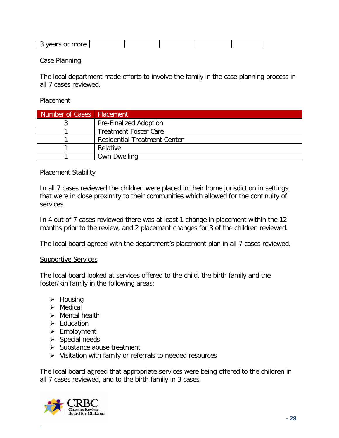| - -- - |  |  |  |
|--------|--|--|--|

#### Case Planning

The local department made efforts to involve the family in the case planning process in all 7 cases reviewed.

#### Placement

| Number of Cases   Placement |                                     |
|-----------------------------|-------------------------------------|
|                             | <b>Pre-Finalized Adoption</b>       |
|                             | <b>Treatment Foster Care</b>        |
|                             | <b>Residential Treatment Center</b> |
|                             | Relative                            |
|                             | <b>Own Dwelling</b>                 |

#### Placement Stability

In all 7 cases reviewed the children were placed in their home jurisdiction in settings that were in close proximity to their communities which allowed for the continuity of services.

In 4 out of 7 cases reviewed there was at least 1 change in placement within the 12 months prior to the review, and 2 placement changes for 3 of the children reviewed.

The local board agreed with the department's placement plan in all 7 cases reviewed.

#### Supportive Services

The local board looked at services offered to the child, the birth family and the foster/kin family in the following areas:

- $\triangleright$  Housing
- $\triangleright$  Medical
- $\triangleright$  Mental health
- $\triangleright$  Education
- $\triangleright$  Employment
- $\triangleright$  Special needs
- $\triangleright$  Substance abuse treatment
- $\triangleright$  Visitation with family or referrals to needed resources

The local board agreed that appropriate services were being offered to the children in all 7 cases reviewed, and to the birth family in 3 cases.

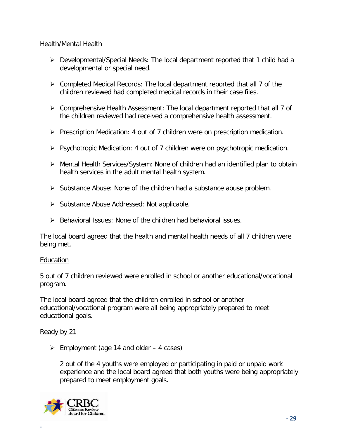## Health/Mental Health

- Developmental/Special Needs: The local department reported that 1 child had a developmental or special need.
- $\triangleright$  Completed Medical Records: The local department reported that all 7 of the children reviewed had completed medical records in their case files.
- Comprehensive Health Assessment: The local department reported that all 7 of the children reviewed had received a comprehensive health assessment.
- $\triangleright$  Prescription Medication: 4 out of 7 children were on prescription medication.
- $\triangleright$  Psychotropic Medication: 4 out of 7 children were on psychotropic medication.
- Mental Health Services/System: None of children had an identified plan to obtain health services in the adult mental health system.
- $\triangleright$  Substance Abuse: None of the children had a substance abuse problem.
- $\triangleright$  Substance Abuse Addressed: Not applicable.
- $\triangleright$  Behavioral Issues: None of the children had behavioral issues.

The local board agreed that the health and mental health needs of all 7 children were being met.

## Education

5 out of 7 children reviewed were enrolled in school or another educational/vocational program.

The local board agreed that the children enrolled in school or another educational/vocational program were all being appropriately prepared to meet educational goals.

## Ready by 21

 $\geq$  Employment (age 14 and older – 4 cases)

2 out of the 4 youths were employed or participating in paid or unpaid work experience and the local board agreed that both youths were being appropriately prepared to meet employment goals.

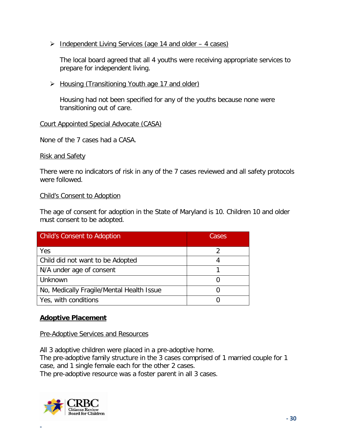$\triangleright$  Independent Living Services (age 14 and older  $-$  4 cases)

The local board agreed that all 4 youths were receiving appropriate services to prepare for independent living.

▶ Housing (Transitioning Youth age 17 and older)

Housing had not been specified for any of the youths because none were transitioning out of care.

## Court Appointed Special Advocate (CASA)

None of the 7 cases had a CASA.

Risk and Safety

There were no indicators of risk in any of the 7 cases reviewed and all safety protocols were followed.

## Child's Consent to Adoption

The age of consent for adoption in the State of Maryland is 10. Children 10 and older must consent to be adopted.

| <b>Child's Consent to Adoption</b>        | Cases |  |
|-------------------------------------------|-------|--|
| Yes                                       |       |  |
| Child did not want to be Adopted          |       |  |
| N/A under age of consent                  |       |  |
| Unknown                                   |       |  |
| No, Medically Fragile/Mental Health Issue |       |  |
| Yes, with conditions                      |       |  |

## **Adoptive Placement**

Pre-Adoptive Services and Resources

All 3 adoptive children were placed in a pre-adoptive home.

The pre-adoptive family structure in the 3 cases comprised of 1 married couple for 1 case, and 1 single female each for the other 2 cases.

The pre-adoptive resource was a foster parent in all 3 cases.

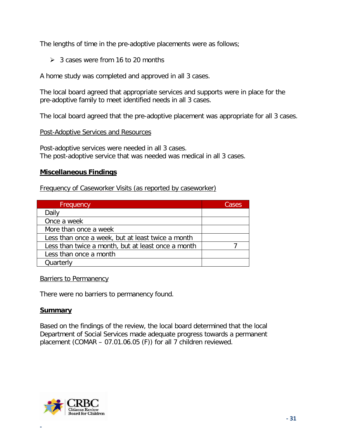The lengths of time in the pre-adoptive placements were as follows;

 $\geq$  3 cases were from 16 to 20 months

A home study was completed and approved in all 3 cases.

The local board agreed that appropriate services and supports were in place for the pre-adoptive family to meet identified needs in all 3 cases.

The local board agreed that the pre-adoptive placement was appropriate for all 3 cases.

## Post-Adoptive Services and Resources

Post-adoptive services were needed in all 3 cases. The post-adoptive service that was needed was medical in all 3 cases.

## **Miscellaneous Findings**

Frequency of Caseworker Visits (as reported by caseworker)

| Frequency                                          | Cases |
|----------------------------------------------------|-------|
| Daily                                              |       |
| Once a week                                        |       |
| More than once a week                              |       |
| Less than once a week, but at least twice a month  |       |
| Less than twice a month, but at least once a month |       |
| Less than once a month                             |       |
| Quarterly                                          |       |

Barriers to Permanency

There were no barriers to permanency found.

## **Summary**

Based on the findings of the review, the local board determined that the local Department of Social Services made adequate progress towards a permanent placement (COMAR – 07.01.06.05 (F)) for all 7 children reviewed.

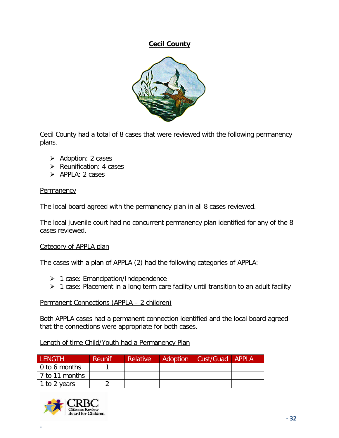**Cecil County**



Cecil County had a total of 8 cases that were reviewed with the following permanency plans.

- $\triangleright$  Adoption: 2 cases
- $\triangleright$  Reunification: 4 cases
- $\triangleright$  APPLA: 2 cases

## **Permanency**

The local board agreed with the permanency plan in all 8 cases reviewed.

The local juvenile court had no concurrent permanency plan identified for any of the 8 cases reviewed.

## Category of APPLA plan

The cases with a plan of APPLA (2) had the following categories of APPLA:

- ▶ 1 case: Emancipation/Independence
- $\triangleright$  1 case: Placement in a long term care facility until transition to an adult facility

## Permanent Connections (APPLA – 2 children)

Both APPLA cases had a permanent connection identified and the local board agreed that the connections were appropriate for both cases.

## Length of time Child/Youth had a Permanency Plan

| LENGTH         | <b>Reunif</b> | <b>Relative</b> | <b>Adoption</b> | Cust/Guad APPLA |  |
|----------------|---------------|-----------------|-----------------|-----------------|--|
| 0 to 6 months  |               |                 |                 |                 |  |
| 7 to 11 months |               |                 |                 |                 |  |
| 1 to 2 years   |               |                 |                 |                 |  |

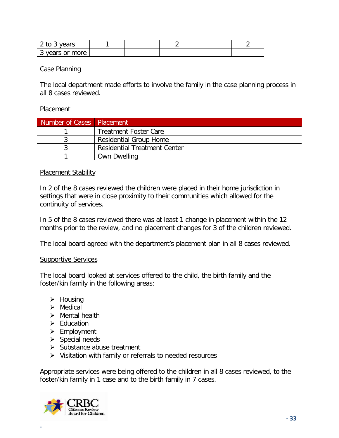| 2 to 3 years    |  |  |  |
|-----------------|--|--|--|
| 3 years or more |  |  |  |

## Case Planning

The local department made efforts to involve the family in the case planning process in all 8 cases reviewed.

## **Placement**

| Number of Cases   Placement |                                     |
|-----------------------------|-------------------------------------|
|                             | <b>Treatment Foster Care</b>        |
|                             | <b>Residential Group Home</b>       |
|                             | <b>Residential Treatment Center</b> |
|                             | <b>Own Dwelling</b>                 |

## Placement Stability

In 2 of the 8 cases reviewed the children were placed in their home jurisdiction in settings that were in close proximity to their communities which allowed for the continuity of services.

In 5 of the 8 cases reviewed there was at least 1 change in placement within the 12 months prior to the review, and no placement changes for 3 of the children reviewed.

The local board agreed with the department's placement plan in all 8 cases reviewed.

## Supportive Services

The local board looked at services offered to the child, the birth family and the foster/kin family in the following areas:

- $\triangleright$  Housing
- $\triangleright$  Medical
- $\triangleright$  Mental health
- $\triangleright$  Education
- $\triangleright$  Employment
- $\triangleright$  Special needs
- $\triangleright$  Substance abuse treatment
- $\triangleright$  Visitation with family or referrals to needed resources

Appropriate services were being offered to the children in all 8 cases reviewed, to the foster/kin family in 1 case and to the birth family in 7 cases.

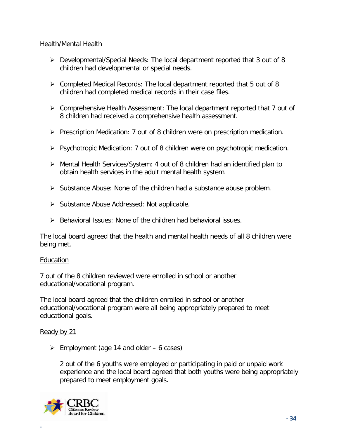## Health/Mental Health

- Developmental/Special Needs: The local department reported that 3 out of 8 children had developmental or special needs.
- $\triangleright$  Completed Medical Records: The local department reported that 5 out of 8 children had completed medical records in their case files.
- Comprehensive Health Assessment: The local department reported that 7 out of 8 children had received a comprehensive health assessment.
- $\triangleright$  Prescription Medication: 7 out of 8 children were on prescription medication.
- $\triangleright$  Psychotropic Medication: 7 out of 8 children were on psychotropic medication.
- Mental Health Services/System: 4 out of 8 children had an identified plan to obtain health services in the adult mental health system.
- $\triangleright$  Substance Abuse: None of the children had a substance abuse problem.
- $\triangleright$  Substance Abuse Addressed: Not applicable.
- $\triangleright$  Behavioral Issues: None of the children had behavioral issues.

The local board agreed that the health and mental health needs of all 8 children were being met.

## Education

7 out of the 8 children reviewed were enrolled in school or another educational/vocational program.

The local board agreed that the children enrolled in school or another educational/vocational program were all being appropriately prepared to meet educational goals.

## Ready by 21

 $\geq$  Employment (age 14 and older – 6 cases)

2 out of the 6 youths were employed or participating in paid or unpaid work experience and the local board agreed that both youths were being appropriately prepared to meet employment goals.

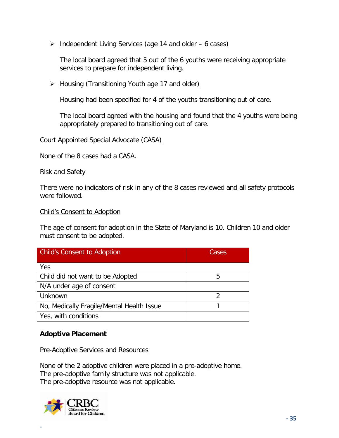$\triangleright$  Independent Living Services (age 14 and older – 6 cases)

The local board agreed that 5 out of the 6 youths were receiving appropriate services to prepare for independent living.

 $\triangleright$  Housing (Transitioning Youth age 17 and older)

Housing had been specified for 4 of the youths transitioning out of care.

The local board agreed with the housing and found that the 4 youths were being appropriately prepared to transitioning out of care.

#### Court Appointed Special Advocate (CASA)

None of the 8 cases had a CASA.

#### Risk and Safety

There were no indicators of risk in any of the 8 cases reviewed and all safety protocols were followed.

#### Child's Consent to Adoption

The age of consent for adoption in the State of Maryland is 10. Children 10 and older must consent to be adopted.

| <b>Child's Consent to Adoption</b>        | Cases |  |
|-------------------------------------------|-------|--|
| Yes                                       |       |  |
| Child did not want to be Adopted          | 5     |  |
| N/A under age of consent                  |       |  |
| Unknown                                   | າ     |  |
| No, Medically Fragile/Mental Health Issue |       |  |
| Yes, with conditions                      |       |  |

## **Adoptive Placement**

Pre-Adoptive Services and Resources

None of the 2 adoptive children were placed in a pre-adoptive home. The pre-adoptive family structure was not applicable. The pre-adoptive resource was not applicable.

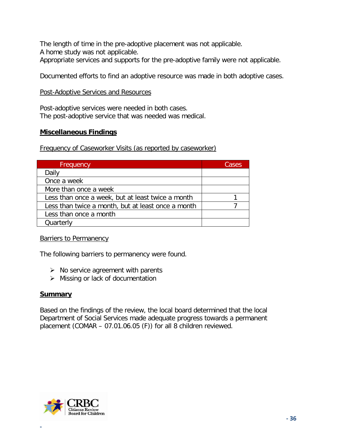The length of time in the pre-adoptive placement was not applicable. A home study was not applicable. Appropriate services and supports for the pre-adoptive family were not applicable.

Documented efforts to find an adoptive resource was made in both adoptive cases.

## Post-Adoptive Services and Resources

Post-adoptive services were needed in both cases. The post-adoptive service that was needed was medical.

## **Miscellaneous Findings**

Frequency of Caseworker Visits (as reported by caseworker)

| Frequency                                          | Cases |
|----------------------------------------------------|-------|
| Daily                                              |       |
| Once a week                                        |       |
| More than once a week                              |       |
| Less than once a week, but at least twice a month  |       |
| Less than twice a month, but at least once a month |       |
| Less than once a month                             |       |
| Quarterly                                          |       |

## Barriers to Permanency

The following barriers to permanency were found.

- $\triangleright$  No service agreement with parents
- $\triangleright$  Missing or lack of documentation

## **Summary**

Based on the findings of the review, the local board determined that the local Department of Social Services made adequate progress towards a permanent placement (COMAR – 07.01.06.05 (F)) for all 8 children reviewed.

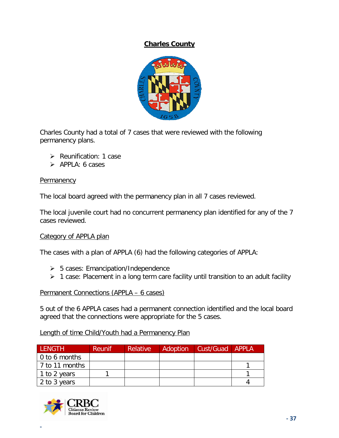# **Charles County**



Charles County had a total of 7 cases that were reviewed with the following permanency plans.

- $\triangleright$  Reunification: 1 case
- $\triangleright$  APPLA: 6 cases

#### **Permanency**

The local board agreed with the permanency plan in all 7 cases reviewed.

The local juvenile court had no concurrent permanency plan identified for any of the 7 cases reviewed.

#### Category of APPLA plan

The cases with a plan of APPLA (6) had the following categories of APPLA:

- $\geq 5$  cases: Emancipation/Independence
- $\geq 1$  case: Placement in a long term care facility until transition to an adult facility

#### Permanent Connections (APPLA – 6 cases)

5 out of the 6 APPLA cases had a permanent connection identified and the local board agreed that the connections were appropriate for the 5 cases.

#### Length of time Child/Youth had a Permanency Plan

| LENGTH                | <b>Reunif</b> | <b>Relative</b> | <b>Adoption</b> | Cust/Guad APPLA |  |
|-----------------------|---------------|-----------------|-----------------|-----------------|--|
| $\vert$ 0 to 6 months |               |                 |                 |                 |  |
| 7 to 11 months        |               |                 |                 |                 |  |
| 1 to 2 years          |               |                 |                 |                 |  |
| 2 to 3 years          |               |                 |                 |                 |  |

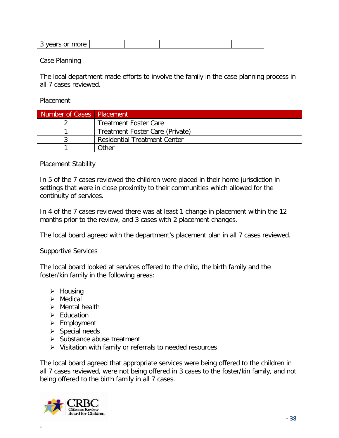| - -- - |  |  |  |
|--------|--|--|--|

#### Case Planning

The local department made efforts to involve the family in the case planning process in all 7 cases reviewed.

#### Placement

| Number of Cases Placement |                                     |
|---------------------------|-------------------------------------|
|                           | <b>Treatment Foster Care</b>        |
|                           | Treatment Foster Care (Private)     |
|                           | <b>Residential Treatment Center</b> |
|                           | Other                               |

#### Placement Stability

In 5 of the 7 cases reviewed the children were placed in their home jurisdiction in settings that were in close proximity to their communities which allowed for the continuity of services.

In 4 of the 7 cases reviewed there was at least 1 change in placement within the 12 months prior to the review, and 3 cases with 2 placement changes.

The local board agreed with the department's placement plan in all 7 cases reviewed.

#### Supportive Services

The local board looked at services offered to the child, the birth family and the foster/kin family in the following areas:

- $\triangleright$  Housing
- $\triangleright$  Medical
- $\triangleright$  Mental health
- $\triangleright$  Education
- $\triangleright$  Employment
- $\triangleright$  Special needs
- $\triangleright$  Substance abuse treatment
- $\triangleright$  Visitation with family or referrals to needed resources

The local board agreed that appropriate services were being offered to the children in all 7 cases reviewed, were not being offered in 3 cases to the foster/kin family, and not being offered to the birth family in all 7 cases.

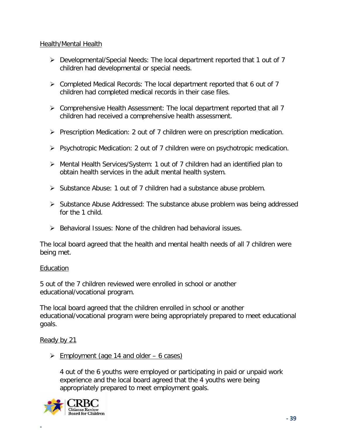### Health/Mental Health

- Developmental/Special Needs: The local department reported that 1 out of 7 children had developmental or special needs.
- $\triangleright$  Completed Medical Records: The local department reported that 6 out of 7 children had completed medical records in their case files.
- $\triangleright$  Comprehensive Health Assessment: The local department reported that all 7 children had received a comprehensive health assessment.
- $\triangleright$  Prescription Medication: 2 out of 7 children were on prescription medication.
- $\triangleright$  Psychotropic Medication: 2 out of 7 children were on psychotropic medication.
- Mental Health Services/System: 1 out of 7 children had an identified plan to obtain health services in the adult mental health system.
- Substance Abuse: 1 out of 7 children had a substance abuse problem.
- $\triangleright$  Substance Abuse Addressed: The substance abuse problem was being addressed for the 1 child.
- $\triangleright$  Behavioral Issues: None of the children had behavioral issues.

The local board agreed that the health and mental health needs of all 7 children were being met.

# Education

5 out of the 7 children reviewed were enrolled in school or another educational/vocational program.

The local board agreed that the children enrolled in school or another educational/vocational program were being appropriately prepared to meet educational goals.

# Ready by 21

**-**

 $\geq$  Employment (age 14 and older – 6 cases)

4 out of the 6 youths were employed or participating in paid or unpaid work experience and the local board agreed that the 4 youths were being appropriately prepared to meet employment goals.

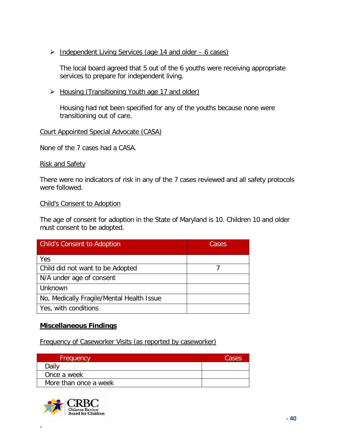$\triangleright$  Independent Living Services (age 14 and older – 6 cases)

The local board agreed that 5 out of the 6 youths were receiving appropriate services to prepare for independent living.

▶ Housing (Transitioning Youth age 17 and older)

Housing had not been specified for any of the youths because none were transitioning out of care.

# Court Appointed Special Advocate (CASA)

None of the 7 cases had a CASA.

Risk and Safety

There were no indicators of risk in any of the 7 cases reviewed and all safety protocols were followed.

### Child's Consent to Adoption

The age of consent for adoption in the State of Maryland is 10. Children 10 and older must consent to be adopted.

| <b>Child's Consent to Adoption</b>        | Cases |
|-------------------------------------------|-------|
| Yes                                       |       |
| Child did not want to be Adopted          |       |
| N/A under age of consent                  |       |
| Unknown                                   |       |
| No, Medically Fragile/Mental Health Issue |       |
| Yes, with conditions                      |       |

# **Miscellaneous Findings**

Frequency of Caseworker Visits (as reported by caseworker)

| Frequency             | Cases |
|-----------------------|-------|
| Dailv                 |       |
| Once a week           |       |
| More than once a week |       |

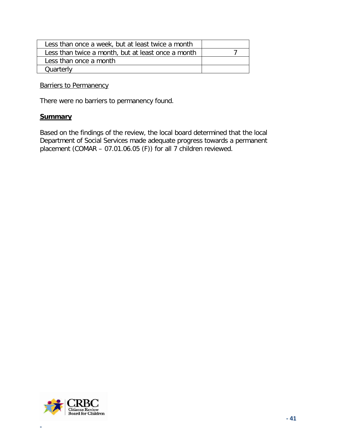| Less than once a week, but at least twice a month  |  |
|----------------------------------------------------|--|
| Less than twice a month, but at least once a month |  |
| Less than once a month                             |  |
| Quarterly                                          |  |
|                                                    |  |

Barriers to Permanency

There were no barriers to permanency found.

#### **Summary**

Based on the findings of the review, the local board determined that the local Department of Social Services made adequate progress towards a permanent placement (COMAR – 07.01.06.05 (F)) for all 7 children reviewed.

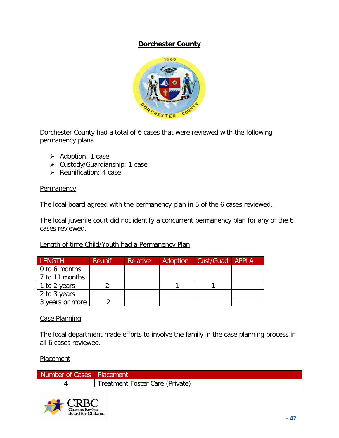# **Dorchester County**



Dorchester County had a total of 6 cases that were reviewed with the following permanency plans.

- $\triangleright$  Adoption: 1 case
- Custody/Guardianship: 1 case
- $\triangleright$  Reunification: 4 case

### **Permanency**

The local board agreed with the permanency plan in 5 of the 6 cases reviewed.

The local juvenile court did not identify a concurrent permanency plan for any of the 6 cases reviewed.

# Length of time Child/Youth had a Permanency Plan

| <b>LENGTH</b>         | <b>Reunif</b> | <b>Relative</b> | Adoption | Cust/Guad APPLA |  |
|-----------------------|---------------|-----------------|----------|-----------------|--|
| $\vert$ 0 to 6 months |               |                 |          |                 |  |
| 7 to 11 months        |               |                 |          |                 |  |
| 1 to 2 years          |               |                 |          |                 |  |
| 2 to 3 years          |               |                 |          |                 |  |
| 3 years or more       |               |                 |          |                 |  |

# Case Planning

The local department made efforts to involve the family in the case planning process in all 6 cases reviewed.

#### Placement

| Number of Cases   Placement |                                 |
|-----------------------------|---------------------------------|
|                             | Treatment Foster Care (Private) |

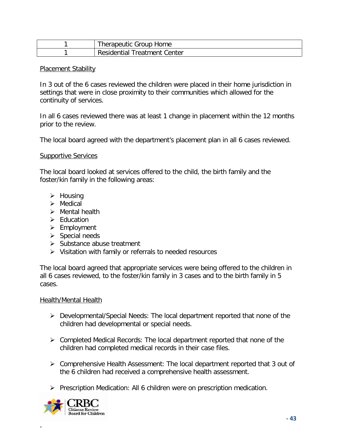| Therapeutic Group Home              |
|-------------------------------------|
| <b>Residential Treatment Center</b> |

#### Placement Stability

In 3 out of the 6 cases reviewed the children were placed in their home jurisdiction in settings that were in close proximity to their communities which allowed for the continuity of services.

In all 6 cases reviewed there was at least 1 change in placement within the 12 months prior to the review.

The local board agreed with the department's placement plan in all 6 cases reviewed.

#### Supportive Services

The local board looked at services offered to the child, the birth family and the foster/kin family in the following areas:

- $\triangleright$  Housing
- $\triangleright$  Medical
- $\triangleright$  Mental health
- $\triangleright$  Education
- $\triangleright$  Employment
- $\triangleright$  Special needs
- $\triangleright$  Substance abuse treatment
- $\triangleright$  Visitation with family or referrals to needed resources

The local board agreed that appropriate services were being offered to the children in all 6 cases reviewed, to the foster/kin family in 3 cases and to the birth family in 5 cases.

#### Health/Mental Health

- Developmental/Special Needs: The local department reported that none of the children had developmental or special needs.
- $\triangleright$  Completed Medical Records: The local department reported that none of the children had completed medical records in their case files.
- Comprehensive Health Assessment: The local department reported that 3 out of the 6 children had received a comprehensive health assessment.
- $\triangleright$  Prescription Medication: All 6 children were on prescription medication.

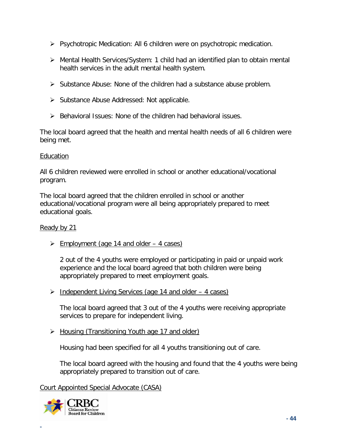- $\triangleright$  Psychotropic Medication: All 6 children were on psychotropic medication.
- Mental Health Services/System: 1 child had an identified plan to obtain mental health services in the adult mental health system.
- $\triangleright$  Substance Abuse: None of the children had a substance abuse problem.
- $\triangleright$  Substance Abuse Addressed: Not applicable.
- $\triangleright$  Behavioral Issues: None of the children had behavioral issues.

The local board agreed that the health and mental health needs of all 6 children were being met.

### Education

All 6 children reviewed were enrolled in school or another educational/vocational program.

The local board agreed that the children enrolled in school or another educational/vocational program were all being appropriately prepared to meet educational goals.

# Ready by 21

 $\triangleright$  Employment (age 14 and older – 4 cases)

2 out of the 4 youths were employed or participating in paid or unpaid work experience and the local board agreed that both children were being appropriately prepared to meet employment goals.

 $\triangleright$  Independent Living Services (age 14 and older – 4 cases)

The local board agreed that 3 out of the 4 youths were receiving appropriate services to prepare for independent living.

▶ Housing (Transitioning Youth age 17 and older)

Housing had been specified for all 4 youths transitioning out of care.

The local board agreed with the housing and found that the 4 youths were being appropriately prepared to transition out of care.

Court Appointed Special Advocate (CASA)

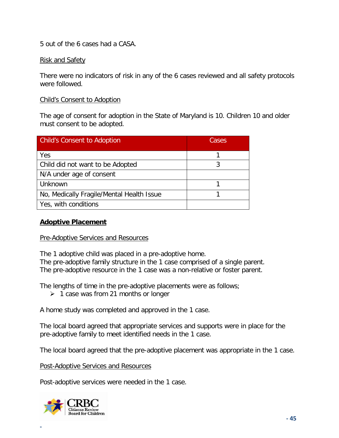5 out of the 6 cases had a CASA.

### Risk and Safety

There were no indicators of risk in any of the 6 cases reviewed and all safety protocols were followed.

#### Child's Consent to Adoption

The age of consent for adoption in the State of Maryland is 10. Children 10 and older must consent to be adopted.

| <b>Child's Consent to Adoption</b>        | Cases |
|-------------------------------------------|-------|
| Yes                                       |       |
| Child did not want to be Adopted          | ς     |
| N/A under age of consent                  |       |
| Unknown                                   |       |
| No, Medically Fragile/Mental Health Issue |       |
| Yes, with conditions                      |       |

### **Adoptive Placement**

#### Pre-Adoptive Services and Resources

The 1 adoptive child was placed in a pre-adoptive home. The pre-adoptive family structure in the 1 case comprised of a single parent. The pre-adoptive resource in the 1 case was a non-relative or foster parent.

The lengths of time in the pre-adoptive placements were as follows;

 $\geq 1$  case was from 21 months or longer

A home study was completed and approved in the 1 case.

The local board agreed that appropriate services and supports were in place for the pre-adoptive family to meet identified needs in the 1 case.

The local board agreed that the pre-adoptive placement was appropriate in the 1 case.

Post-Adoptive Services and Resources

Post-adoptive services were needed in the 1 case.

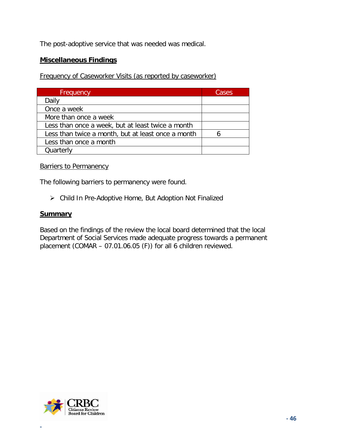The post-adoptive service that was needed was medical.

### **Miscellaneous Findings**

Frequency of Caseworker Visits (as reported by caseworker)

| Frequency                                          | Cases |
|----------------------------------------------------|-------|
| Daily                                              |       |
| Once a week                                        |       |
| More than once a week                              |       |
| Less than once a week, but at least twice a month  |       |
| Less than twice a month, but at least once a month |       |
| Less than once a month                             |       |
| Quarterly                                          |       |

#### **Barriers to Permanency**

The following barriers to permanency were found.

Child In Pre-Adoptive Home, But Adoption Not Finalized

#### **Summary**

Based on the findings of the review the local board determined that the local Department of Social Services made adequate progress towards a permanent placement (COMAR – 07.01.06.05 (F)) for all 6 children reviewed.

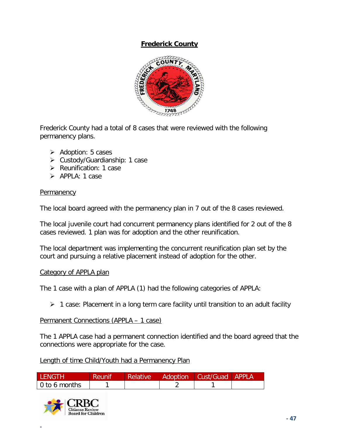# **Frederick County**



Frederick County had a total of 8 cases that were reviewed with the following permanency plans.

- $\triangleright$  Adoption: 5 cases
- Custody/Guardianship: 1 case
- $\triangleright$  Reunification: 1 case
- > APPLA: 1 case

### **Permanency**

The local board agreed with the permanency plan in 7 out of the 8 cases reviewed.

The local juvenile court had concurrent permanency plans identified for 2 out of the 8 cases reviewed. 1 plan was for adoption and the other reunification.

The local department was implementing the concurrent reunification plan set by the court and pursuing a relative placement instead of adoption for the other.

#### Category of APPLA plan

The 1 case with a plan of APPLA (1) had the following categories of APPLA:

 $\geq 1$  case: Placement in a long term care facility until transition to an adult facility

#### Permanent Connections (APPLA – 1 case)

The 1 APPLA case had a permanent connection identified and the board agreed that the connections were appropriate for the case.

Length of time Child/Youth had a Permanency Plan

| <b>IFNGTH</b> | <b>/ Reunif</b> | <b>Relative</b> | Adoption | Cust/Guad APPLA |  |
|---------------|-----------------|-----------------|----------|-----------------|--|
| 0 to 6 months |                 |                 |          |                 |  |

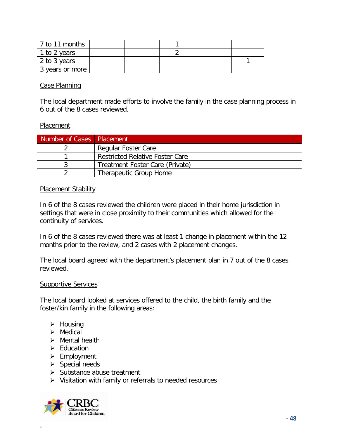| 7 to 11 months    |  |  |  |
|-------------------|--|--|--|
| 1 to 2 years      |  |  |  |
| 2 to 3 years      |  |  |  |
| 3 years or more 1 |  |  |  |

### Case Planning

The local department made efforts to involve the family in the case planning process in 6 out of the 8 cases reviewed.

#### Placement

| Number of Cases Placement |                                        |
|---------------------------|----------------------------------------|
|                           | Regular Foster Care                    |
|                           | <b>Restricted Relative Foster Care</b> |
|                           | Treatment Foster Care (Private)        |
|                           | Therapeutic Group Home                 |

### Placement Stability

In 6 of the 8 cases reviewed the children were placed in their home jurisdiction in settings that were in close proximity to their communities which allowed for the continuity of services.

In 6 of the 8 cases reviewed there was at least 1 change in placement within the 12 months prior to the review, and 2 cases with 2 placement changes.

The local board agreed with the department's placement plan in 7 out of the 8 cases reviewed.

#### Supportive Services

The local board looked at services offered to the child, the birth family and the foster/kin family in the following areas:

- $\triangleright$  Housing
- $\triangleright$  Medical
- $\triangleright$  Mental health
- $\triangleright$  Education
- $\triangleright$  Employment
- $\triangleright$  Special needs
- $\triangleright$  Substance abuse treatment
- $\triangleright$  Visitation with family or referrals to needed resources

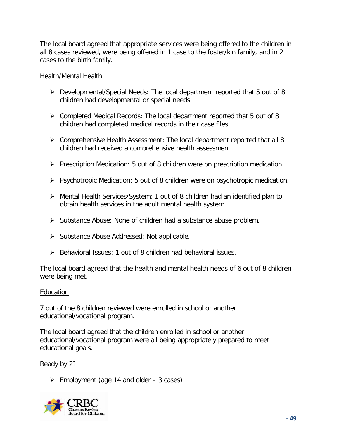The local board agreed that appropriate services were being offered to the children in all 8 cases reviewed, were being offered in 1 case to the foster/kin family, and in 2 cases to the birth family.

### Health/Mental Health

- Developmental/Special Needs: The local department reported that 5 out of 8 children had developmental or special needs.
- Completed Medical Records: The local department reported that 5 out of 8 children had completed medical records in their case files.
- $\triangleright$  Comprehensive Health Assessment: The local department reported that all 8 children had received a comprehensive health assessment.
- $\triangleright$  Prescription Medication: 5 out of 8 children were on prescription medication.
- $\triangleright$  Psychotropic Medication: 5 out of 8 children were on psychotropic medication.
- Mental Health Services/System: 1 out of 8 children had an identified plan to obtain health services in the adult mental health system.
- $\triangleright$  Substance Abuse: None of children had a substance abuse problem.
- $\triangleright$  Substance Abuse Addressed: Not applicable.
- $\triangleright$  Behavioral Issues: 1 out of 8 children had behavioral issues.

The local board agreed that the health and mental health needs of 6 out of 8 children were being met.

#### Education

7 out of the 8 children reviewed were enrolled in school or another educational/vocational program.

The local board agreed that the children enrolled in school or another educational/vocational program were all being appropriately prepared to meet educational goals.

Ready by 21

**-**

 $\geq$  Employment (age 14 and older – 3 cases)

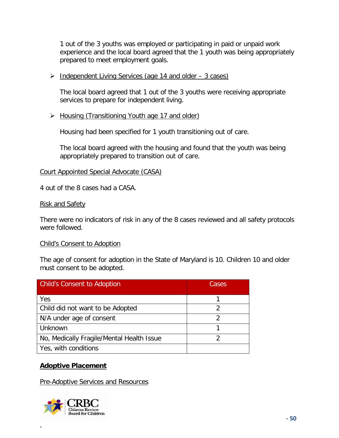1 out of the 3 youths was employed or participating in paid or unpaid work experience and the local board agreed that the 1 youth was being appropriately prepared to meet employment goals.

 $\triangleright$  Independent Living Services (age 14 and older – 3 cases)

The local board agreed that 1 out of the 3 youths were receiving appropriate services to prepare for independent living.

▶ Housing (Transitioning Youth age 17 and older)

Housing had been specified for 1 youth transitioning out of care.

The local board agreed with the housing and found that the youth was being appropriately prepared to transition out of care.

#### Court Appointed Special Advocate (CASA)

4 out of the 8 cases had a CASA.

#### Risk and Safety

There were no indicators of risk in any of the 8 cases reviewed and all safety protocols were followed.

#### Child's Consent to Adoption

The age of consent for adoption in the State of Maryland is 10. Children 10 and older must consent to be adopted.

| <b>Child's Consent to Adoption</b>        | Cases |
|-------------------------------------------|-------|
| Yes                                       |       |
| Child did not want to be Adopted          | 2     |
| N/A under age of consent                  | 2     |
| Unknown                                   |       |
| No, Medically Fragile/Mental Health Issue |       |
| Yes, with conditions                      |       |

# **Adoptive Placement**

Pre-Adoptive Services and Resources

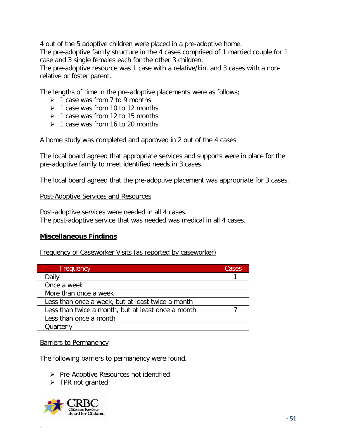4 out of the 5 adoptive children were placed in a pre-adoptive home.

The pre-adoptive family structure in the 4 cases comprised of 1 married couple for 1 case and 3 single females each for the other 3 children.

The pre-adoptive resource was 1 case with a relative/kin, and 3 cases with a nonrelative or foster parent.

The lengths of time in the pre-adoptive placements were as follows;

- $\geq 1$  case was from 7 to 9 months
- $\geq 1$  case was from 10 to 12 months
- $\geq 1$  case was from 12 to 15 months
- $\geq 1$  case was from 16 to 20 months

A home study was completed and approved in 2 out of the 4 cases.

The local board agreed that appropriate services and supports were in place for the pre-adoptive family to meet identified needs in 3 cases.

The local board agreed that the pre-adoptive placement was appropriate for 3 cases.

#### Post-Adoptive Services and Resources

Post-adoptive services were needed in all 4 cases. The post-adoptive service that was needed was medical in all 4 cases.

# **Miscellaneous Findings**

Frequency of Caseworker Visits (as reported by caseworker)

| Frequency                                          | Cases |
|----------------------------------------------------|-------|
| Daily                                              |       |
| Once a week                                        |       |
| More than once a week                              |       |
| Less than once a week, but at least twice a month  |       |
| Less than twice a month, but at least once a month |       |
| Less than once a month                             |       |
| Quarterly                                          |       |

#### **Barriers to Permanency**

The following barriers to permanency were found.

- $\triangleright$  Pre-Adoptive Resources not identified
- $\triangleright$  TPR not granted

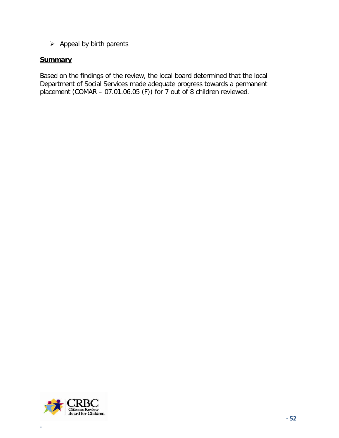$\triangleright$  Appeal by birth parents

### **Summary**

Based on the findings of the review, the local board determined that the local Department of Social Services made adequate progress towards a permanent placement (COMAR – 07.01.06.05 (F)) for 7 out of 8 children reviewed.

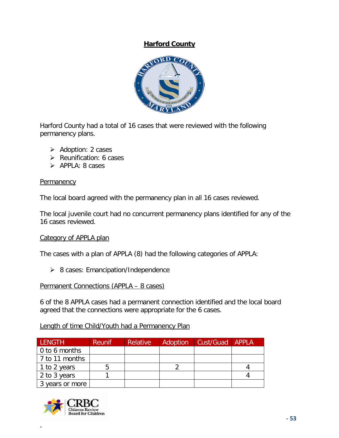# **Harford County**



Harford County had a total of 16 cases that were reviewed with the following permanency plans.

- $\triangleright$  Adoption: 2 cases
- $\triangleright$  Reunification: 6 cases
- $\triangleright$  APPLA: 8 cases

#### **Permanency**

The local board agreed with the permanency plan in all 16 cases reviewed.

The local juvenile court had no concurrent permanency plans identified for any of the 16 cases reviewed.

#### Category of APPLA plan

The cases with a plan of APPLA (8) had the following categories of APPLA:

 $\geq$  8 cases: Emancipation/Independence

#### Permanent Connections (APPLA – 8 cases)

6 of the 8 APPLA cases had a permanent connection identified and the local board agreed that the connections were appropriate for the 6 cases.

# Length of time Child/Youth had a Permanency Plan

| <b>LENGTH</b>         | <b>Reunif</b> | <b>Relative</b> | Adoption | Cust/Guad APPLA |  |
|-----------------------|---------------|-----------------|----------|-----------------|--|
| $\vert$ 0 to 6 months |               |                 |          |                 |  |
| 7 to 11 months        |               |                 |          |                 |  |
| 1 to 2 years          |               |                 |          |                 |  |
| 2 to 3 years          |               |                 |          |                 |  |
| 3 years or more       |               |                 |          |                 |  |

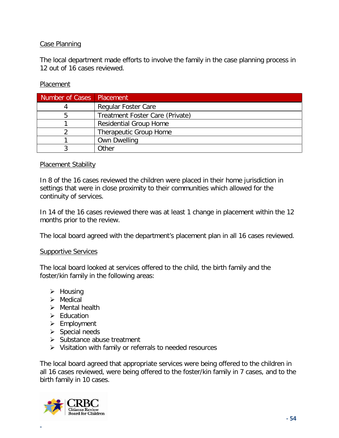# Case Planning

The local department made efforts to involve the family in the case planning process in 12 out of 16 cases reviewed.

### **Placement**

| Number of Cases   Placement |                                 |
|-----------------------------|---------------------------------|
|                             | <b>Regular Foster Care</b>      |
|                             | Treatment Foster Care (Private) |
|                             | <b>Residential Group Home</b>   |
|                             | Therapeutic Group Home          |
|                             | <b>Own Dwelling</b>             |
|                             | Other                           |

#### **Placement Stability**

In 8 of the 16 cases reviewed the children were placed in their home jurisdiction in settings that were in close proximity to their communities which allowed for the continuity of services.

In 14 of the 16 cases reviewed there was at least 1 change in placement within the 12 months prior to the review.

The local board agreed with the department's placement plan in all 16 cases reviewed.

#### Supportive Services

The local board looked at services offered to the child, the birth family and the foster/kin family in the following areas:

- $\triangleright$  Housing
- $\triangleright$  Medical
- $\triangleright$  Mental health
- $\triangleright$  Education
- $\triangleright$  Employment
- $\triangleright$  Special needs
- $\triangleright$  Substance abuse treatment
- $\triangleright$  Visitation with family or referrals to needed resources

The local board agreed that appropriate services were being offered to the children in all 16 cases reviewed, were being offered to the foster/kin family in 7 cases, and to the birth family in 10 cases.

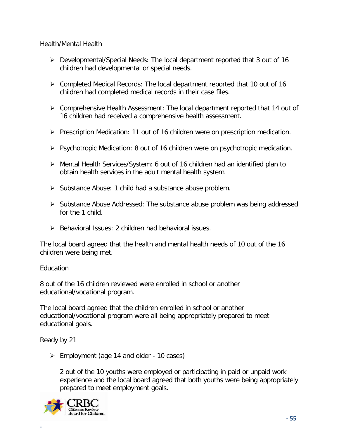### Health/Mental Health

- Developmental/Special Needs: The local department reported that 3 out of 16 children had developmental or special needs.
- Completed Medical Records: The local department reported that 10 out of 16 children had completed medical records in their case files.
- Comprehensive Health Assessment: The local department reported that 14 out of 16 children had received a comprehensive health assessment.
- $\triangleright$  Prescription Medication: 11 out of 16 children were on prescription medication.
- $\triangleright$  Psychotropic Medication: 8 out of 16 children were on psychotropic medication.
- Mental Health Services/System: 6 out of 16 children had an identified plan to obtain health services in the adult mental health system.
- $\triangleright$  Substance Abuse: 1 child had a substance abuse problem.
- $\triangleright$  Substance Abuse Addressed: The substance abuse problem was being addressed for the 1 child.
- $\triangleright$  Behavioral Issues: 2 children had behavioral issues.

The local board agreed that the health and mental health needs of 10 out of the 16 children were being met.

#### Education

8 out of the 16 children reviewed were enrolled in school or another educational/vocational program.

The local board agreed that the children enrolled in school or another educational/vocational program were all being appropriately prepared to meet educational goals.

# Ready by 21

**-**

 $\geq$  Employment (age 14 and older - 10 cases)

2 out of the 10 youths were employed or participating in paid or unpaid work experience and the local board agreed that both youths were being appropriately prepared to meet employment goals.

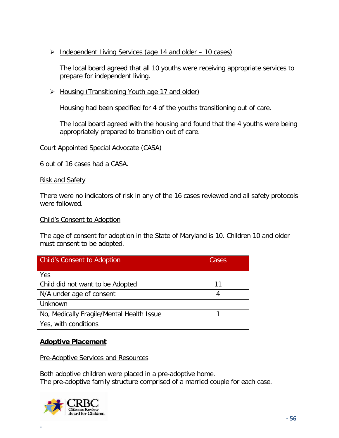> Independent Living Services (age 14 and older – 10 cases)

The local board agreed that all 10 youths were receiving appropriate services to prepare for independent living.

▶ Housing (Transitioning Youth age 17 and older)

Housing had been specified for 4 of the youths transitioning out of care.

The local board agreed with the housing and found that the 4 youths were being appropriately prepared to transition out of care.

### Court Appointed Special Advocate (CASA)

6 out of 16 cases had a CASA.

#### Risk and Safety

There were no indicators of risk in any of the 16 cases reviewed and all safety protocols were followed.

#### Child's Consent to Adoption

The age of consent for adoption in the State of Maryland is 10. Children 10 and older must consent to be adopted.

| Child's Consent to Adoption               | Cases |
|-------------------------------------------|-------|
| Yes                                       |       |
| Child did not want to be Adopted          | 11    |
| N/A under age of consent                  | 4     |
| Unknown                                   |       |
| No, Medically Fragile/Mental Health Issue |       |
| Yes, with conditions                      |       |

# **Adoptive Placement**

Pre-Adoptive Services and Resources

Both adoptive children were placed in a pre-adoptive home. The pre-adoptive family structure comprised of a married couple for each case.

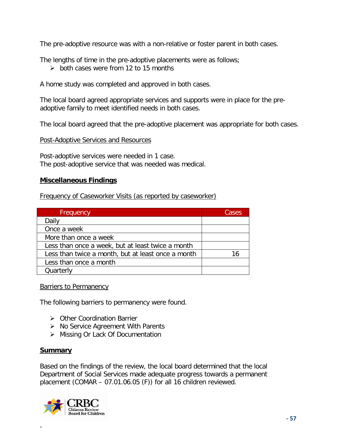The pre-adoptive resource was with a non-relative or foster parent in both cases.

The lengths of time in the pre-adoptive placements were as follows;

 $\geq$  both cases were from 12 to 15 months

A home study was completed and approved in both cases.

The local board agreed appropriate services and supports were in place for the preadoptive family to meet identified needs in both cases.

The local board agreed that the pre-adoptive placement was appropriate for both cases.

#### Post-Adoptive Services and Resources

Post-adoptive services were needed in 1 case. The post-adoptive service that was needed was medical.

### **Miscellaneous Findings**

Frequency of Caseworker Visits (as reported by caseworker)

| Frequency                                          | Cases |
|----------------------------------------------------|-------|
| Daily                                              |       |
| Once a week                                        |       |
| More than once a week                              |       |
| Less than once a week, but at least twice a month  |       |
| Less than twice a month, but at least once a month |       |
| Less than once a month                             |       |
| Quarterly                                          |       |

**Barriers to Permanency** 

The following barriers to permanency were found.

- **▶ Other Coordination Barrier**
- $\triangleright$  No Service Agreement With Parents
- ▶ Missing Or Lack Of Documentation

#### **Summary**

**-**

Based on the findings of the review, the local board determined that the local Department of Social Services made adequate progress towards a permanent placement (COMAR – 07.01.06.05 (F)) for all 16 children reviewed.

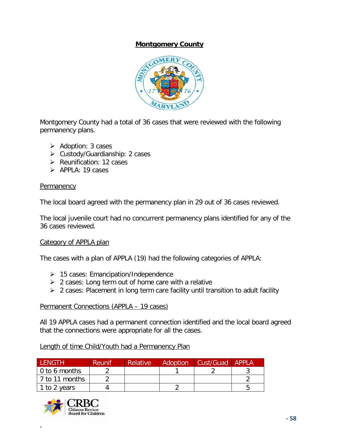# **Montgomery County**



Montgomery County had a total of 36 cases that were reviewed with the following permanency plans.

- $\triangleright$  Adoption: 3 cases
- Custody/Guardianship: 2 cases
- $\triangleright$  Reunification: 12 cases
- $\triangleright$  APPLA: 19 cases

# **Permanency**

The local board agreed with the permanency plan in 29 out of 36 cases reviewed.

The local juvenile court had no concurrent permanency plans identified for any of the 36 cases reviewed.

# Category of APPLA plan

The cases with a plan of APPLA (19) had the following categories of APPLA:

- $\geq$  15 cases: Emancipation/Independence
- $\geq$  2 cases: Long term out of home care with a relative
- $\geq$  2 cases: Placement in long term care facility until transition to adult facility

# Permanent Connections (APPLA – 19 cases)

All 19 APPLA cases had a permanent connection identified and the local board agreed that the connections were appropriate for all the cases.

# Length of time Child/Youth had a Permanency Plan

| <b>LENGTH</b>         | <b>Reunif</b> | <b>Relative</b> | <b>Adoption</b> | Cust/Guad APPLA |  |
|-----------------------|---------------|-----------------|-----------------|-----------------|--|
| $\vert$ 0 to 6 months |               |                 |                 |                 |  |
| l 7 to 11 months      |               |                 |                 |                 |  |
| 1 to 2 years          |               |                 |                 |                 |  |

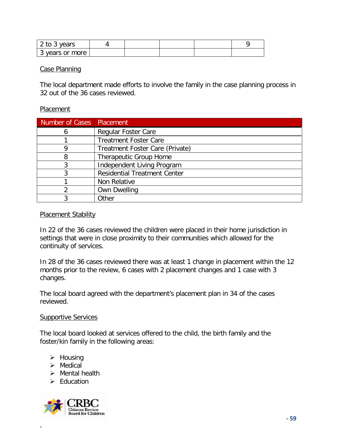| <sup>2</sup> to 3 years |  |  |  |
|-------------------------|--|--|--|
| 3 years or more<br>ີ    |  |  |  |

#### Case Planning

The local department made efforts to involve the family in the case planning process in 32 out of the 36 cases reviewed.

#### **Placement**

| Number of Cases | Placement                           |
|-----------------|-------------------------------------|
|                 | <b>Regular Foster Care</b>          |
|                 | <b>Treatment Foster Care</b>        |
|                 | Treatment Foster Care (Private)     |
| 8               | Therapeutic Group Home              |
|                 | Independent Living Program          |
|                 | <b>Residential Treatment Center</b> |
|                 | Non Relative                        |
|                 | <b>Own Dwelling</b>                 |
|                 | Other                               |

#### Placement Stability

In 22 of the 36 cases reviewed the children were placed in their home jurisdiction in settings that were in close proximity to their communities which allowed for the continuity of services.

In 28 of the 36 cases reviewed there was at least 1 change in placement within the 12 months prior to the review, 6 cases with 2 placement changes and 1 case with 3 changes.

The local board agreed with the department's placement plan in 34 of the cases reviewed.

#### **Supportive Services**

The local board looked at services offered to the child, the birth family and the foster/kin family in the following areas:

- $\triangleright$  Housing
- $\triangleright$  Medical
- $\triangleright$  Mental health
- $\triangleright$  Education

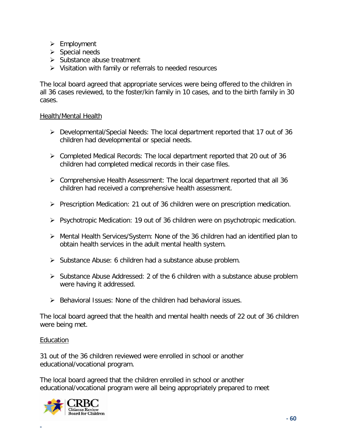- $\triangleright$  Employment
- $\triangleright$  Special needs
- $\triangleright$  Substance abuse treatment
- $\triangleright$  Visitation with family or referrals to needed resources

The local board agreed that appropriate services were being offered to the children in all 36 cases reviewed, to the foster/kin family in 10 cases, and to the birth family in 30 cases.

# Health/Mental Health

- Developmental/Special Needs: The local department reported that 17 out of 36 children had developmental or special needs.
- $\triangleright$  Completed Medical Records: The local department reported that 20 out of 36 children had completed medical records in their case files.
- $\triangleright$  Comprehensive Health Assessment: The local department reported that all 36 children had received a comprehensive health assessment.
- $\triangleright$  Prescription Medication: 21 out of 36 children were on prescription medication.
- $\triangleright$  Psychotropic Medication: 19 out of 36 children were on psychotropic medication.
- Mental Health Services/System: None of the 36 children had an identified plan to obtain health services in the adult mental health system.
- $\triangleright$  Substance Abuse: 6 children had a substance abuse problem.
- $\triangleright$  Substance Abuse Addressed: 2 of the 6 children with a substance abuse problem were having it addressed.
- $\triangleright$  Behavioral Issues: None of the children had behavioral issues.

The local board agreed that the health and mental health needs of 22 out of 36 children were being met.

# Education

**-**

31 out of the 36 children reviewed were enrolled in school or another educational/vocational program.

The local board agreed that the children enrolled in school or another educational/vocational program were all being appropriately prepared to meet

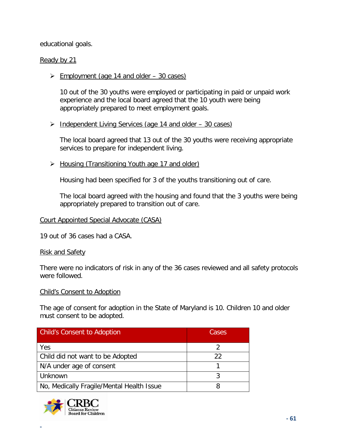educational goals.

### Ready by 21

 $\geq$  Employment (age 14 and older – 30 cases)

10 out of the 30 youths were employed or participating in paid or unpaid work experience and the local board agreed that the 10 youth were being appropriately prepared to meet employment goals.

### $\triangleright$  Independent Living Services (age 14 and older – 30 cases)

The local board agreed that 13 out of the 30 youths were receiving appropriate services to prepare for independent living.

▶ Housing (Transitioning Youth age 17 and older)

Housing had been specified for 3 of the youths transitioning out of care.

The local board agreed with the housing and found that the 3 youths were being appropriately prepared to transition out of care.

#### Court Appointed Special Advocate (CASA)

19 out of 36 cases had a CASA.

#### Risk and Safety

There were no indicators of risk in any of the 36 cases reviewed and all safety protocols were followed.

#### Child's Consent to Adoption

The age of consent for adoption in the State of Maryland is 10. Children 10 and older must consent to be adopted.

| <b>Child's Consent to Adoption</b>        | Cases |
|-------------------------------------------|-------|
| Yes                                       |       |
| Child did not want to be Adopted          | 22    |
| N/A under age of consent                  |       |
| Unknown                                   |       |
| No, Medically Fragile/Mental Health Issue |       |

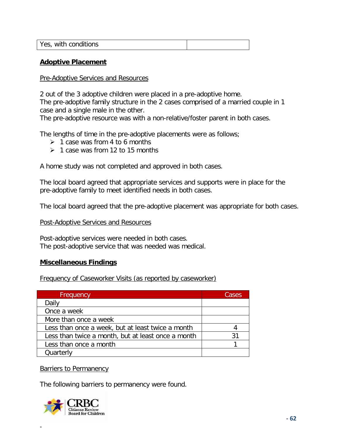| Yes, with conditions |  |
|----------------------|--|
|                      |  |

#### **Adoptive Placement**

#### Pre-Adoptive Services and Resources

2 out of the 3 adoptive children were placed in a pre-adoptive home.

The pre-adoptive family structure in the 2 cases comprised of a married couple in 1 case and a single male in the other.

The pre-adoptive resource was with a non-relative/foster parent in both cases.

The lengths of time in the pre-adoptive placements were as follows;

- $\geq 1$  case was from 4 to 6 months
- $\geq 1$  case was from 12 to 15 months

A home study was not completed and approved in both cases.

The local board agreed that appropriate services and supports were in place for the pre-adoptive family to meet identified needs in both cases.

The local board agreed that the pre-adoptive placement was appropriate for both cases.

#### Post-Adoptive Services and Resources

Post-adoptive services were needed in both cases. The post-adoptive service that was needed was medical.

#### **Miscellaneous Findings**

#### Frequency of Caseworker Visits (as reported by caseworker)

| Frequency                                          | Cases |
|----------------------------------------------------|-------|
| Daily                                              |       |
| Once a week                                        |       |
| More than once a week                              |       |
| Less than once a week, but at least twice a month  |       |
| Less than twice a month, but at least once a month |       |
| Less than once a month                             |       |
| Quarterly                                          |       |

#### **Barriers to Permanency**

The following barriers to permanency were found.

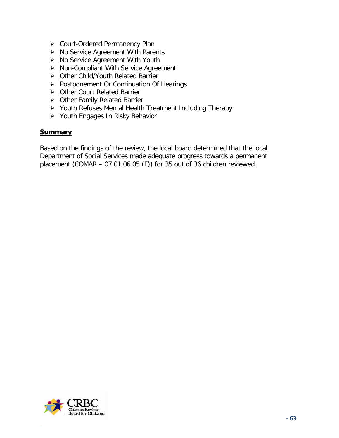- ▶ Court-Ordered Permanency Plan
- $\triangleright$  No Service Agreement With Parents
- $\triangleright$  No Service Agreement With Youth
- $\triangleright$  Non-Compliant With Service Agreement
- Other Child/Youth Related Barrier
- Postponement Or Continuation Of Hearings
- ▶ Other Court Related Barrier
- ▶ Other Family Related Barrier
- Youth Refuses Mental Health Treatment Including Therapy
- ▶ Youth Engages In Risky Behavior

### **Summary**

Based on the findings of the review, the local board determined that the local Department of Social Services made adequate progress towards a permanent placement (COMAR – 07.01.06.05 (F)) for 35 out of 36 children reviewed.

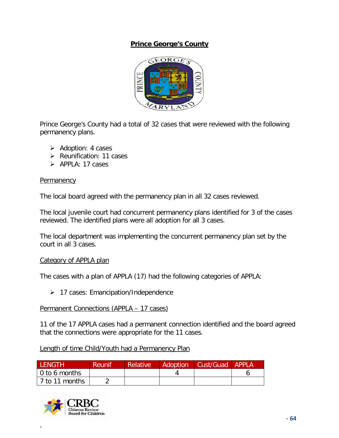# **Prince George's County**



Prince George's County had a total of 32 cases that were reviewed with the following permanency plans.

- $\triangleright$  Adoption: 4 cases
- $\triangleright$  Reunification: 11 cases
- $\triangleright$  APPLA: 17 cases

### **Permanency**

The local board agreed with the permanency plan in all 32 cases reviewed.

The local juvenile court had concurrent permanency plans identified for 3 of the cases reviewed. The identified plans were all adoption for all 3 cases.

The local department was implementing the concurrent permanency plan set by the court in all 3 cases.

# Category of APPLA plan

The cases with a plan of APPLA (17) had the following categories of APPLA:

 $\geq 17$  cases: Emancipation/Independence

Permanent Connections (APPLA – 17 cases)

11 of the 17 APPLA cases had a permanent connection identified and the board agreed that the connections were appropriate for the 11 cases.

|  |  |  | Length of time Child/Youth had a Permanency Plan |  |
|--|--|--|--------------------------------------------------|--|
|  |  |  |                                                  |  |

| LENGTH         | Reunif | <b>Relative</b> | Adoption   Cust/Guad   APPLA |  |
|----------------|--------|-----------------|------------------------------|--|
| 0 to 6 months  |        |                 |                              |  |
| 7 to 11 months |        |                 |                              |  |

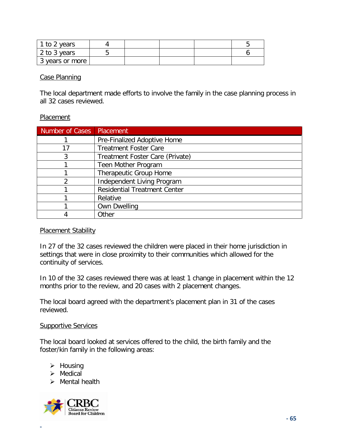| 1 to 2 years    |  |  |  |
|-----------------|--|--|--|
| 2 to 3 years    |  |  |  |
| 3 years or more |  |  |  |

#### Case Planning

The local department made efforts to involve the family in the case planning process in all 32 cases reviewed.

#### **Placement**

| Number of Cases | Placement                           |
|-----------------|-------------------------------------|
|                 | Pre-Finalized Adoptive Home         |
| 17              | <b>Treatment Foster Care</b>        |
| 3               | Treatment Foster Care (Private)     |
|                 | Teen Mother Program                 |
|                 | Therapeutic Group Home              |
| $\overline{2}$  | Independent Living Program          |
|                 | <b>Residential Treatment Center</b> |
|                 | Relative                            |
|                 | <b>Own Dwelling</b>                 |
|                 | Other                               |

#### **Placement Stability**

In 27 of the 32 cases reviewed the children were placed in their home jurisdiction in settings that were in close proximity to their communities which allowed for the continuity of services.

In 10 of the 32 cases reviewed there was at least 1 change in placement within the 12 months prior to the review, and 20 cases with 2 placement changes.

The local board agreed with the department's placement plan in 31 of the cases reviewed.

### **Supportive Services**

The local board looked at services offered to the child, the birth family and the foster/kin family in the following areas:

- $\triangleright$  Housing
- $\triangleright$  Medical
- $\triangleright$  Mental health

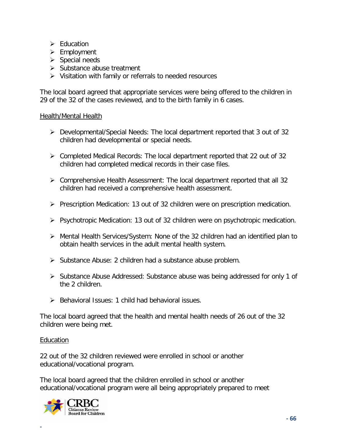- $\triangleright$  Fducation
- $\triangleright$  Employment
- $\triangleright$  Special needs
- $\triangleright$  Substance abuse treatment
- $\triangleright$  Visitation with family or referrals to needed resources

The local board agreed that appropriate services were being offered to the children in 29 of the 32 of the cases reviewed, and to the birth family in 6 cases.

# Health/Mental Health

- $\triangleright$  Developmental/Special Needs: The local department reported that 3 out of 32 children had developmental or special needs.
- $\triangleright$  Completed Medical Records: The local department reported that 22 out of 32 children had completed medical records in their case files.
- $\triangleright$  Comprehensive Health Assessment: The local department reported that all 32 children had received a comprehensive health assessment.
- $\triangleright$  Prescription Medication: 13 out of 32 children were on prescription medication.
- $\triangleright$  Psychotropic Medication: 13 out of 32 children were on psychotropic medication.
- Mental Health Services/System: None of the 32 children had an identified plan to obtain health services in the adult mental health system.
- $\triangleright$  Substance Abuse: 2 children had a substance abuse problem.
- ▶ Substance Abuse Addressed: Substance abuse was being addressed for only 1 of the 2 children.
- $\triangleright$  Behavioral Issues: 1 child had behavioral issues.

The local board agreed that the health and mental health needs of 26 out of the 32 children were being met.

# Education

**-**

22 out of the 32 children reviewed were enrolled in school or another educational/vocational program.

The local board agreed that the children enrolled in school or another educational/vocational program were all being appropriately prepared to meet

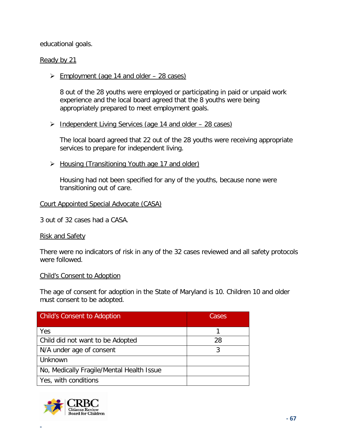educational goals.

### Ready by 21

 $\geq$  Employment (age 14 and older – 28 cases)

8 out of the 28 youths were employed or participating in paid or unpaid work experience and the local board agreed that the 8 youths were being appropriately prepared to meet employment goals.

 $\triangleright$  Independent Living Services (age 14 and older – 28 cases)

The local board agreed that 22 out of the 28 youths were receiving appropriate services to prepare for independent living.

▶ Housing (Transitioning Youth age 17 and older)

Housing had not been specified for any of the youths, because none were transitioning out of care.

#### Court Appointed Special Advocate (CASA)

3 out of 32 cases had a CASA.

**Risk and Safety** 

There were no indicators of risk in any of the 32 cases reviewed and all safety protocols were followed.

#### Child's Consent to Adoption

The age of consent for adoption in the State of Maryland is 10. Children 10 and older must consent to be adopted.

| <b>Child's Consent to Adoption</b>        | Cases |
|-------------------------------------------|-------|
| Yes                                       |       |
| Child did not want to be Adopted          | 28    |
| N/A under age of consent                  | २     |
| Unknown                                   |       |
| No, Medically Fragile/Mental Health Issue |       |
| Yes, with conditions                      |       |

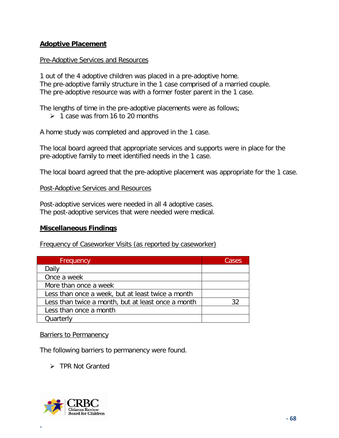# **Adoptive Placement**

### Pre-Adoptive Services and Resources

1 out of the 4 adoptive children was placed in a pre-adoptive home. The pre-adoptive family structure in the 1 case comprised of a married couple. The pre-adoptive resource was with a former foster parent in the 1 case.

The lengths of time in the pre-adoptive placements were as follows;

 $\geq 1$  case was from 16 to 20 months

A home study was completed and approved in the 1 case.

The local board agreed that appropriate services and supports were in place for the pre-adoptive family to meet identified needs in the 1 case.

The local board agreed that the pre-adoptive placement was appropriate for the 1 case.

#### Post-Adoptive Services and Resources

Post-adoptive services were needed in all 4 adoptive cases. The post-adoptive services that were needed were medical.

# **Miscellaneous Findings**

Frequency of Caseworker Visits (as reported by caseworker)

| Frequency                                          | Cases |
|----------------------------------------------------|-------|
| Daily                                              |       |
| Once a week                                        |       |
| More than once a week                              |       |
| Less than once a week, but at least twice a month  |       |
| Less than twice a month, but at least once a month | 32    |
| Less than once a month                             |       |
| Quarterly                                          |       |

Barriers to Permanency

The following barriers to permanency were found.

# > TPR Not Granted

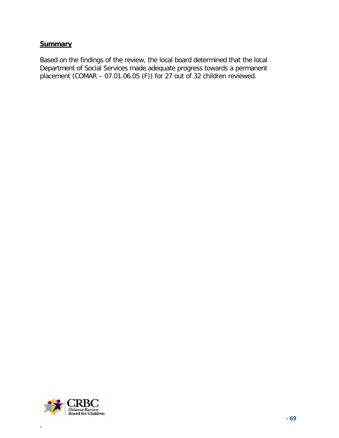### **Summary**

Based on the findings of the review, the local board determined that the local Department of Social Services made adequate progress towards a permanent placement (COMAR – 07.01.06.05 (F)) for 27 out of 32 children reviewed.

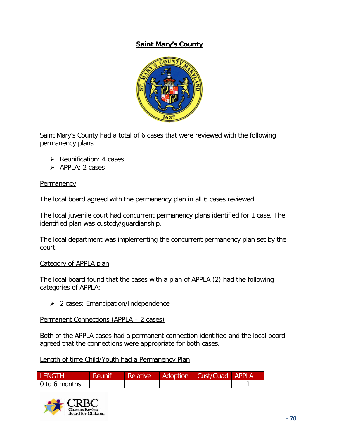# **Saint Mary's County**



Saint Mary's County had a total of 6 cases that were reviewed with the following permanency plans.

- $\triangleright$  Reunification: 4 cases
- $\triangleright$  APPLA: 2 cases

#### **Permanency**

The local board agreed with the permanency plan in all 6 cases reviewed.

The local juvenile court had concurrent permanency plans identified for 1 case. The identified plan was custody/guardianship.

The local department was implementing the concurrent permanency plan set by the court.

#### Category of APPLA plan

The local board found that the cases with a plan of APPLA (2) had the following categories of APPLA:

 $\geq$  2 cases: Emancipation/Independence

Permanent Connections (APPLA – 2 cases)

Both of the APPLA cases had a permanent connection identified and the local board agreed that the connections were appropriate for both cases.

Length of time Child/Youth had a Permanency Plan

| LENGTH.       | <b>/ Reunif</b> | Relative | ∟ Adoption \ | Cust/Guad APPLA |  |
|---------------|-----------------|----------|--------------|-----------------|--|
| 0 to 6 months |                 |          |              |                 |  |

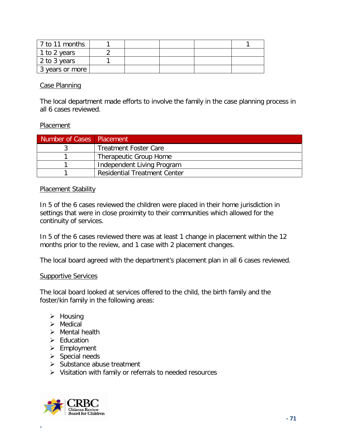| l 7 to 11 months |  |  |  |
|------------------|--|--|--|
| 1 to 2 years     |  |  |  |
| 2 to 3 years     |  |  |  |
| 3 years or more  |  |  |  |

### Case Planning

The local department made efforts to involve the family in the case planning process in all 6 cases reviewed.

#### Placement

| Number of Cases   Placement |                                     |
|-----------------------------|-------------------------------------|
|                             | <b>Treatment Foster Care</b>        |
|                             | Therapeutic Group Home              |
|                             | Independent Living Program          |
|                             | <b>Residential Treatment Center</b> |

### Placement Stability

In 5 of the 6 cases reviewed the children were placed in their home jurisdiction in settings that were in close proximity to their communities which allowed for the continuity of services.

In 5 of the 6 cases reviewed there was at least 1 change in placement within the 12 months prior to the review, and 1 case with 2 placement changes.

The local board agreed with the department's placement plan in all 6 cases reviewed.

#### **Supportive Services**

The local board looked at services offered to the child, the birth family and the foster/kin family in the following areas:

- $\triangleright$  Housing
- $\triangleright$  Medical
- $\triangleright$  Mental health
- $\triangleright$  Education
- $\triangleright$  Employment
- $\triangleright$  Special needs
- $\triangleright$  Substance abuse treatment
- $\triangleright$  Visitation with family or referrals to needed resources

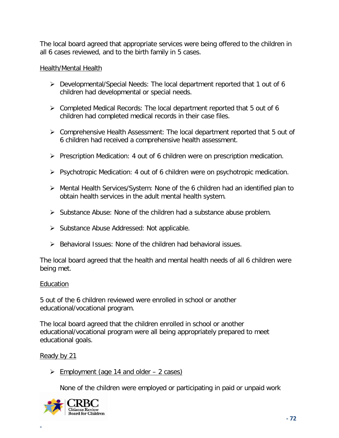The local board agreed that appropriate services were being offered to the children in all 6 cases reviewed, and to the birth family in 5 cases.

# Health/Mental Health

- Developmental/Special Needs: The local department reported that 1 out of 6 children had developmental or special needs.
- Completed Medical Records: The local department reported that 5 out of 6 children had completed medical records in their case files.
- Comprehensive Health Assessment: The local department reported that 5 out of 6 children had received a comprehensive health assessment.
- $\triangleright$  Prescription Medication: 4 out of 6 children were on prescription medication.
- $\triangleright$  Psychotropic Medication: 4 out of 6 children were on psychotropic medication.
- Mental Health Services/System: None of the 6 children had an identified plan to obtain health services in the adult mental health system.
- $\triangleright$  Substance Abuse: None of the children had a substance abuse problem.
- $\triangleright$  Substance Abuse Addressed: Not applicable.
- $\triangleright$  Behavioral Issues: None of the children had behavioral issues.

The local board agreed that the health and mental health needs of all 6 children were being met.

# Education

5 out of the 6 children reviewed were enrolled in school or another educational/vocational program.

The local board agreed that the children enrolled in school or another educational/vocational program were all being appropriately prepared to meet educational goals.

Ready by 21

**-**

 $\triangleright$  Employment (age 14 and older – 2 cases)

None of the children were employed or participating in paid or unpaid work

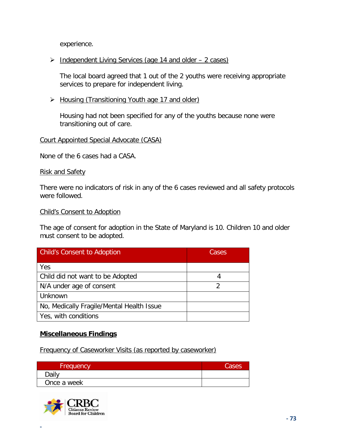experience.

## > Independent Living Services (age 14 and older – 2 cases)

The local board agreed that 1 out of the 2 youths were receiving appropriate services to prepare for independent living.

### ▶ Housing (Transitioning Youth age 17 and older)

Housing had not been specified for any of the youths because none were transitioning out of care.

#### Court Appointed Special Advocate (CASA)

None of the 6 cases had a CASA.

#### Risk and Safety

There were no indicators of risk in any of the 6 cases reviewed and all safety protocols were followed.

#### Child's Consent to Adoption

The age of consent for adoption in the State of Maryland is 10. Children 10 and older must consent to be adopted.

| <b>Child's Consent to Adoption</b>        | Cases |  |
|-------------------------------------------|-------|--|
| Yes                                       |       |  |
| Child did not want to be Adopted          |       |  |
| N/A under age of consent                  |       |  |
| Unknown                                   |       |  |
| No, Medically Fragile/Mental Health Issue |       |  |
| Yes, with conditions                      |       |  |

## **Miscellaneous Findings**

Frequency of Caseworker Visits (as reported by caseworker)

| Frequency   | Cases |
|-------------|-------|
| Daily       |       |
| Once a week |       |

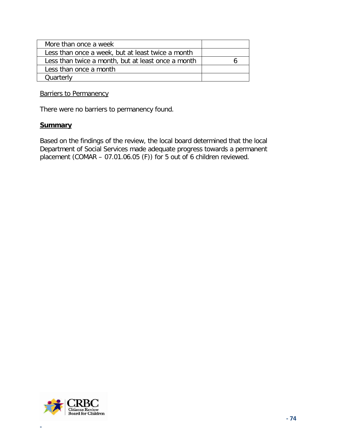| More than once a week                              |  |
|----------------------------------------------------|--|
| Less than once a week, but at least twice a month  |  |
| Less than twice a month, but at least once a month |  |
| Less than once a month                             |  |
| Quarterly                                          |  |

Barriers to Permanency

There were no barriers to permanency found.

#### **Summary**

Based on the findings of the review, the local board determined that the local Department of Social Services made adequate progress towards a permanent placement (COMAR – 07.01.06.05 (F)) for 5 out of 6 children reviewed.

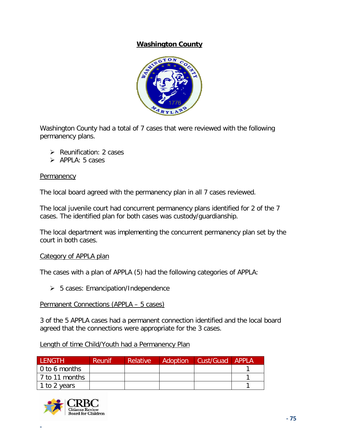# **Washington County**



Washington County had a total of 7 cases that were reviewed with the following permanency plans.

- $\triangleright$  Reunification: 2 cases
- $\triangleright$  APPLA: 5 cases

#### **Permanency**

The local board agreed with the permanency plan in all 7 cases reviewed.

The local juvenile court had concurrent permanency plans identified for 2 of the 7 cases. The identified plan for both cases was custody/guardianship.

The local department was implementing the concurrent permanency plan set by the court in both cases.

#### Category of APPLA plan

The cases with a plan of APPLA (5) had the following categories of APPLA:

 $\geq 5$  cases: Emancipation/Independence

#### Permanent Connections (APPLA – 5 cases)

3 of the 5 APPLA cases had a permanent connection identified and the local board agreed that the connections were appropriate for the 3 cases.

## Length of time Child/Youth had a Permanency Plan

| <b>LENGTH</b>  | <b>Reunif</b> | <b>Relative</b> | Adoption | Cust/Guad   APPLA |  |
|----------------|---------------|-----------------|----------|-------------------|--|
| 0 to 6 months  |               |                 |          |                   |  |
| 7 to 11 months |               |                 |          |                   |  |
| 1 to 2 years   |               |                 |          |                   |  |

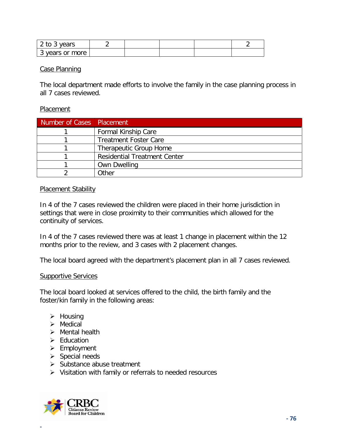| 2 to 3 years    |  |  |  |
|-----------------|--|--|--|
| 3 years or more |  |  |  |

#### Case Planning

The local department made efforts to involve the family in the case planning process in all 7 cases reviewed.

#### **Placement**

| Number of Cases   Placement |                                     |
|-----------------------------|-------------------------------------|
|                             | <b>Formal Kinship Care</b>          |
|                             | <b>Treatment Foster Care</b>        |
|                             | Therapeutic Group Home              |
|                             | <b>Residential Treatment Center</b> |
|                             | <b>Own Dwelling</b>                 |
|                             | .)ther                              |

#### Placement Stability

In 4 of the 7 cases reviewed the children were placed in their home jurisdiction in settings that were in close proximity to their communities which allowed for the continuity of services.

In 4 of the 7 cases reviewed there was at least 1 change in placement within the 12 months prior to the review, and 3 cases with 2 placement changes.

The local board agreed with the department's placement plan in all 7 cases reviewed.

#### **Supportive Services**

The local board looked at services offered to the child, the birth family and the foster/kin family in the following areas:

- $\triangleright$  Housing
- $\triangleright$  Medical
- $\triangleright$  Mental health
- $\triangleright$  Education
- $\triangleright$  Employment
- $\triangleright$  Special needs
- $\triangleright$  Substance abuse treatment
- $\triangleright$  Visitation with family or referrals to needed resources

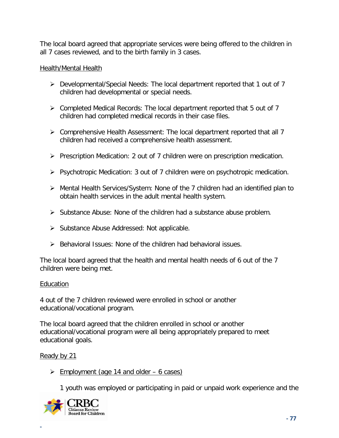The local board agreed that appropriate services were being offered to the children in all 7 cases reviewed, and to the birth family in 3 cases.

## Health/Mental Health

- Developmental/Special Needs: The local department reported that 1 out of 7 children had developmental or special needs.
- $\triangleright$  Completed Medical Records: The local department reported that 5 out of 7 children had completed medical records in their case files.
- $\triangleright$  Comprehensive Health Assessment: The local department reported that all 7 children had received a comprehensive health assessment.
- $\triangleright$  Prescription Medication: 2 out of 7 children were on prescription medication.
- $\triangleright$  Psychotropic Medication: 3 out of 7 children were on psychotropic medication.
- Mental Health Services/System: None of the 7 children had an identified plan to obtain health services in the adult mental health system.
- $\triangleright$  Substance Abuse: None of the children had a substance abuse problem.
- $\triangleright$  Substance Abuse Addressed: Not applicable.
- $\triangleright$  Behavioral Issues: None of the children had behavioral issues.

The local board agreed that the health and mental health needs of 6 out of the 7 children were being met.

## Education

4 out of the 7 children reviewed were enrolled in school or another educational/vocational program.

The local board agreed that the children enrolled in school or another educational/vocational program were all being appropriately prepared to meet educational goals.

Ready by 21

**-**

 $\geq$  Employment (age 14 and older – 6 cases)

1 youth was employed or participating in paid or unpaid work experience and the

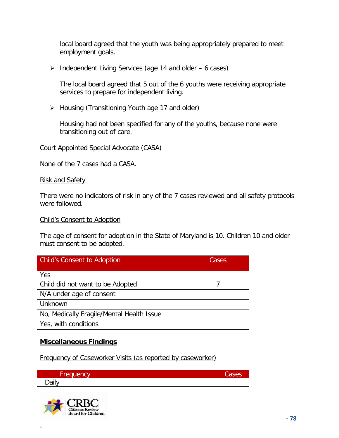local board agreed that the youth was being appropriately prepared to meet employment goals.

 $\triangleright$  Independent Living Services (age 14 and older – 6 cases)

The local board agreed that 5 out of the 6 youths were receiving appropriate services to prepare for independent living.

▶ Housing (Transitioning Youth age 17 and older)

Housing had not been specified for any of the youths, because none were transitioning out of care.

# Court Appointed Special Advocate (CASA)

None of the 7 cases had a CASA.

## Risk and Safety

There were no indicators of risk in any of the 7 cases reviewed and all safety protocols were followed.

## Child's Consent to Adoption

The age of consent for adoption in the State of Maryland is 10. Children 10 and older must consent to be adopted.

| <b>Child's Consent to Adoption</b>        | Cases |
|-------------------------------------------|-------|
| Yes                                       |       |
| Child did not want to be Adopted          |       |
| N/A under age of consent                  |       |
| Unknown                                   |       |
| No, Medically Fragile/Mental Health Issue |       |
| Yes, with conditions                      |       |

# **Miscellaneous Findings**

Frequency of Caseworker Visits (as reported by caseworker)

| -<br>Frequency | ESSE. |
|----------------|-------|
| Daily          |       |

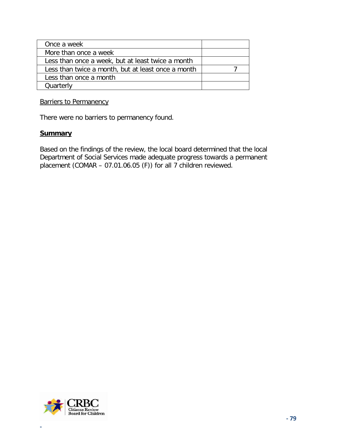| Once a week                                        |  |
|----------------------------------------------------|--|
| More than once a week                              |  |
| Less than once a week, but at least twice a month  |  |
| Less than twice a month, but at least once a month |  |
| Less than once a month                             |  |
| Quarterly                                          |  |

Barriers to Permanency

There were no barriers to permanency found.

#### **Summary**

Based on the findings of the review, the local board determined that the local Department of Social Services made adequate progress towards a permanent placement (COMAR – 07.01.06.05 (F)) for all 7 children reviewed.

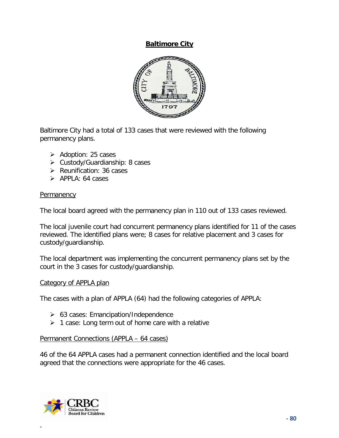## **Baltimore City**



Baltimore City had a total of 133 cases that were reviewed with the following permanency plans.

- $\triangleright$  Adoption: 25 cases
- Custody/Guardianship: 8 cases
- $\triangleright$  Reunification: 36 cases
- $\triangleright$  APPLA: 64 cases

### **Permanency**

The local board agreed with the permanency plan in 110 out of 133 cases reviewed.

The local juvenile court had concurrent permanency plans identified for 11 of the cases reviewed. The identified plans were; 8 cases for relative placement and 3 cases for custody/guardianship.

The local department was implementing the concurrent permanency plans set by the court in the 3 cases for custody/guardianship.

## Category of APPLA plan

The cases with a plan of APPLA (64) had the following categories of APPLA:

- $\geq$  63 cases: Emancipation/Independence
- $\geq 1$  case: Long term out of home care with a relative

#### Permanent Connections (APPLA – 64 cases)

46 of the 64 APPLA cases had a permanent connection identified and the local board agreed that the connections were appropriate for the 46 cases.

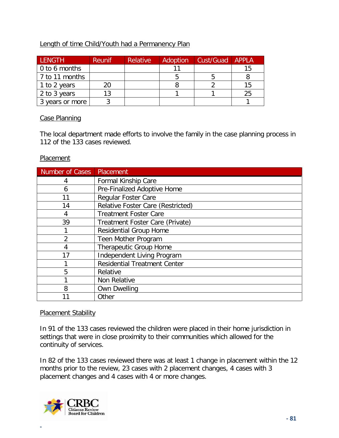# Length of time Child/Youth had a Permanency Plan

| <b>LENGTH</b>         | <b>Reunif</b> | Relative | Adoption | Cust/Guad | <b>APPLA</b> |
|-----------------------|---------------|----------|----------|-----------|--------------|
| $\vert$ 0 to 6 months |               |          |          |           | 15           |
| 7 to 11 months        |               |          |          |           |              |
| 1 to 2 years          | 20.           |          |          |           | 15           |
| 2 to 3 years          | 13            |          |          |           | 25           |
| 3 years or more       |               |          |          |           |              |

## Case Planning

The local department made efforts to involve the family in the case planning process in 112 of the 133 cases reviewed.

### Placement

| Number of Cases | Placement                                |
|-----------------|------------------------------------------|
| 4               | <b>Formal Kinship Care</b>               |
| 6               | Pre-Finalized Adoptive Home              |
| 11              | <b>Regular Foster Care</b>               |
| 14              | <b>Relative Foster Care (Restricted)</b> |
| 4               | <b>Treatment Foster Care</b>             |
| 39              | Treatment Foster Care (Private)          |
|                 | <b>Residential Group Home</b>            |
| 2               | Teen Mother Program                      |
| 4               | Therapeutic Group Home                   |
| 17              | Independent Living Program               |
|                 | <b>Residential Treatment Center</b>      |
| 5               | Relative                                 |
|                 | Non Relative                             |
| 8               | <b>Own Dwelling</b>                      |
|                 | Other                                    |

## Placement Stability

In 91 of the 133 cases reviewed the children were placed in their home jurisdiction in settings that were in close proximity to their communities which allowed for the continuity of services.

In 82 of the 133 cases reviewed there was at least 1 change in placement within the 12 months prior to the review, 23 cases with 2 placement changes, 4 cases with 3 placement changes and 4 cases with 4 or more changes.

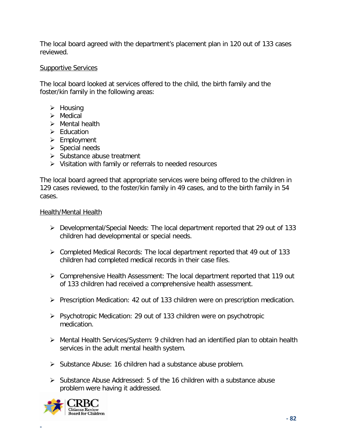The local board agreed with the department's placement plan in 120 out of 133 cases reviewed.

## Supportive Services

The local board looked at services offered to the child, the birth family and the foster/kin family in the following areas:

- $\triangleright$  Housing
- $\triangleright$  Medical
- $\triangleright$  Mental health
- $\triangleright$  Education
- $\triangleright$  Employment
- $\triangleright$  Special needs
- $\triangleright$  Substance abuse treatment
- $\triangleright$  Visitation with family or referrals to needed resources

The local board agreed that appropriate services were being offered to the children in 129 cases reviewed, to the foster/kin family in 49 cases, and to the birth family in 54 cases.

## Health/Mental Health

- Developmental/Special Needs: The local department reported that 29 out of 133 children had developmental or special needs.
- Completed Medical Records: The local department reported that 49 out of 133 children had completed medical records in their case files.
- Comprehensive Health Assessment: The local department reported that 119 out of 133 children had received a comprehensive health assessment.
- $\triangleright$  Prescription Medication: 42 out of 133 children were on prescription medication.
- $\triangleright$  Psychotropic Medication: 29 out of 133 children were on psychotropic medication.
- Mental Health Services/System: 9 children had an identified plan to obtain health services in the adult mental health system.
- $\triangleright$  Substance Abuse: 16 children had a substance abuse problem.
- $\triangleright$  Substance Abuse Addressed: 5 of the 16 children with a substance abuse problem were having it addressed.

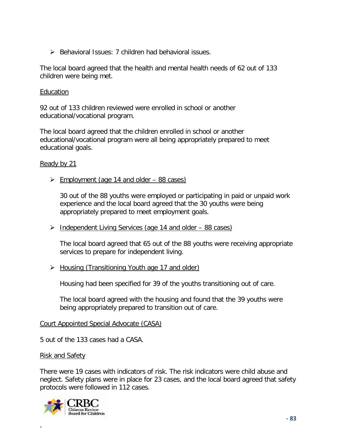$\triangleright$  Behavioral Issues: 7 children had behavioral issues.

The local board agreed that the health and mental health needs of 62 out of 133 children were being met.

#### Education

92 out of 133 children reviewed were enrolled in school or another educational/vocational program.

The local board agreed that the children enrolled in school or another educational/vocational program were all being appropriately prepared to meet educational goals.

### Ready by 21

 $\geq$  Employment (age 14 and older – 88 cases)

30 out of the 88 youths were employed or participating in paid or unpaid work experience and the local board agreed that the 30 youths were being appropriately prepared to meet employment goals.

> Independent Living Services (age 14 and older – 88 cases)

The local board agreed that 65 out of the 88 youths were receiving appropriate services to prepare for independent living.

> Housing (Transitioning Youth age 17 and older)

Housing had been specified for 39 of the youths transitioning out of care.

The local board agreed with the housing and found that the 39 youths were being appropriately prepared to transition out of care.

#### Court Appointed Special Advocate (CASA)

5 out of the 133 cases had a CASA.

#### Risk and Safety

There were 19 cases with indicators of risk. The risk indicators were child abuse and neglect. Safety plans were in place for 23 cases, and the local board agreed that safety protocols were followed in 112 cases.

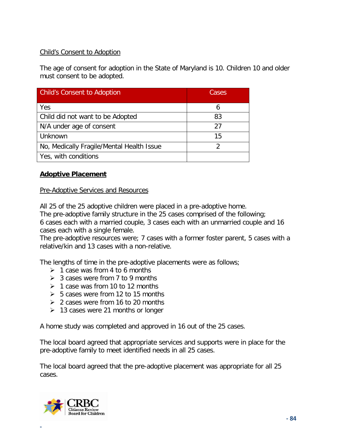# Child's Consent to Adoption

The age of consent for adoption in the State of Maryland is 10. Children 10 and older must consent to be adopted.

| <b>Child's Consent to Adoption</b>        | Cases |  |
|-------------------------------------------|-------|--|
| Yes                                       |       |  |
| Child did not want to be Adopted          | 83    |  |
| N/A under age of consent                  | 27    |  |
| Unknown                                   | 15    |  |
| No, Medically Fragile/Mental Health Issue | າ     |  |
| Yes, with conditions                      |       |  |

## **Adoptive Placement**

#### Pre-Adoptive Services and Resources

All 25 of the 25 adoptive children were placed in a pre-adoptive home.

The pre-adoptive family structure in the 25 cases comprised of the following; 6 cases each with a married couple, 3 cases each with an unmarried couple and 16 cases each with a single female.

The pre-adoptive resources were; 7 cases with a former foster parent, 5 cases with a relative/kin and 13 cases with a non-relative.

The lengths of time in the pre-adoptive placements were as follows;

- $\geq 1$  case was from 4 to 6 months
- $\geq 3$  cases were from 7 to 9 months
- $\geq 1$  case was from 10 to 12 months
- $\geq 5$  cases were from 12 to 15 months
- $\geq$  2 cases were from 16 to 20 months
- $\geq$  13 cases were 21 months or longer

A home study was completed and approved in 16 out of the 25 cases.

The local board agreed that appropriate services and supports were in place for the pre-adoptive family to meet identified needs in all 25 cases.

The local board agreed that the pre-adoptive placement was appropriate for all 25 cases.

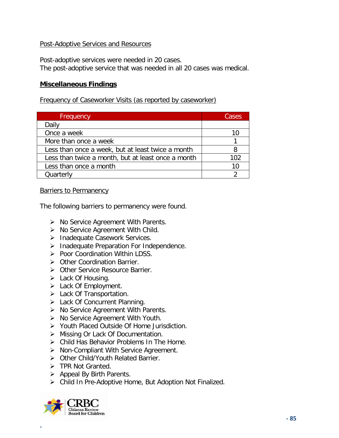### Post-Adoptive Services and Resources

Post-adoptive services were needed in 20 cases. The post-adoptive service that was needed in all 20 cases was medical.

### **Miscellaneous Findings**

Frequency of Caseworker Visits (as reported by caseworker)

| <b>Frequency</b>                                   | Cases |
|----------------------------------------------------|-------|
| Daily                                              |       |
| Once a week                                        | 10    |
| More than once a week                              |       |
| Less than once a week, but at least twice a month  |       |
| Less than twice a month, but at least once a month | 102   |
| Less than once a month                             | 10    |
| Quarterly                                          |       |

Barriers to Permanency

The following barriers to permanency were found.

- $\triangleright$  No Service Agreement With Parents.
- $\triangleright$  No Service Agreement With Child.
- > Inadequate Casework Services.
- $\triangleright$  Inadequate Preparation For Independence.
- $\triangleright$  Poor Coordination Within LDSS.
- > Other Coordination Barrier.
- ▶ Other Service Resource Barrier.
- $\triangleright$  Lack Of Housing.
- $\triangleright$  Lack Of Employment.
- Lack Of Transportation.
- > Lack Of Concurrent Planning.
- $\triangleright$  No Service Agreement With Parents.
- ▶ No Service Agreement With Youth.
- ▶ Youth Placed Outside Of Home Jurisdiction.
- ▶ Missing Or Lack Of Documentation.
- Child Has Behavior Problems In The Home.
- > Non-Compliant With Service Agreement.
- > Other Child/Youth Related Barrier.
- $\triangleright$  TPR Not Granted.
- $\triangleright$  Appeal By Birth Parents.
- Child In Pre-Adoptive Home, But Adoption Not Finalized.

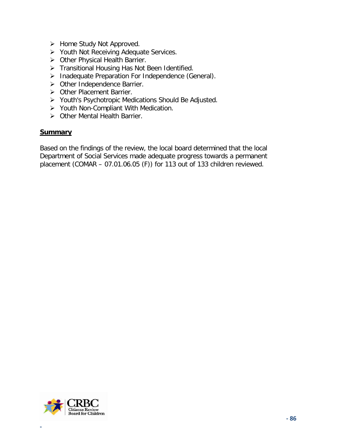- $\triangleright$  Home Study Not Approved.
- **▶ Youth Not Receiving Adequate Services.**
- > Other Physical Health Barrier.
- > Transitional Housing Has Not Been Identified.
- $\triangleright$  Inadequate Preparation For Independence (General).
- > Other Independence Barrier.
- ▶ Other Placement Barrier.
- Youth's Psychotropic Medications Should Be Adjusted.
- > Youth Non-Compliant With Medication.
- ▶ Other Mental Health Barrier.

### **Summary**

Based on the findings of the review, the local board determined that the local Department of Social Services made adequate progress towards a permanent placement (COMAR – 07.01.06.05 (F)) for 113 out of 133 children reviewed.

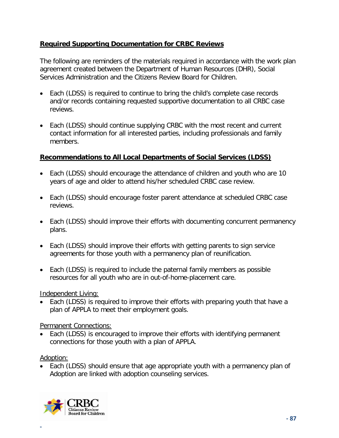# **Required Supporting Documentation for CRBC Reviews**

The following are reminders of the materials required in accordance with the work plan agreement created between the Department of Human Resources (DHR), Social Services Administration and the Citizens Review Board for Children.

- Each (LDSS) is required to continue to bring the child's complete case records and/or records containing requested supportive documentation to all CRBC case reviews.
- Each (LDSS) should continue supplying CRBC with the most recent and current contact information for all interested parties, including professionals and family members.

# **Recommendations to All Local Departments of Social Services (LDSS)**

- Each (LDSS) should encourage the attendance of children and youth who are 10 years of age and older to attend his/her scheduled CRBC case review.
- Each (LDSS) should encourage foster parent attendance at scheduled CRBC case reviews.
- Each (LDSS) should improve their efforts with documenting concurrent permanency plans.
- Each (LDSS) should improve their efforts with getting parents to sign service agreements for those youth with a permanency plan of reunification.
- Each (LDSS) is required to include the paternal family members as possible resources for all youth who are in out-of-home-placement care.

Independent Living:

Each (LDSS) is required to improve their efforts with preparing youth that have a plan of APPLA to meet their employment goals.

Permanent Connections:

• Each (LDSS) is encouraged to improve their efforts with identifying permanent connections for those youth with a plan of APPLA.

Adoption:

**-**

• Each (LDSS) should ensure that age appropriate youth with a permanency plan of Adoption are linked with adoption counseling services.

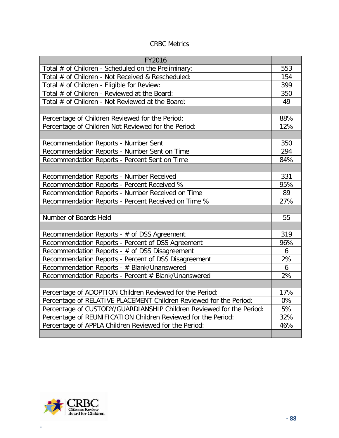## CRBC Metrics

| FY2016                                                               |           |
|----------------------------------------------------------------------|-----------|
| Total # of Children - Scheduled on the Preliminary:                  | 553       |
| Total # of Children - Not Received & Rescheduled:                    | 154       |
| Total # of Children - Eligible for Review:                           | 399       |
| Total # of Children - Reviewed at the Board:                         | 350       |
| Total # of Children - Not Reviewed at the Board:                     | 49        |
|                                                                      |           |
| Percentage of Children Reviewed for the Period:                      | 88%       |
| Percentage of Children Not Reviewed for the Period:                  | 12%       |
|                                                                      |           |
| Recommendation Reports - Number Sent                                 | 350       |
| Recommendation Reports - Number Sent on Time                         | 294       |
| Recommendation Reports - Percent Sent on Time                        | 84%       |
|                                                                      |           |
| Recommendation Reports - Number Received                             | 331       |
| Recommendation Reports - Percent Received %                          | 95%       |
| Recommendation Reports - Number Received on Time                     | 89        |
| Recommendation Reports - Percent Received on Time %                  | 27%       |
|                                                                      |           |
| Number of Boards Held                                                | 55        |
|                                                                      |           |
| Recommendation Reports - # of DSS Agreement                          | 319       |
| Recommendation Reports - Percent of DSS Agreement                    | 96%       |
| Recommendation Reports - # of DSS Disagreement                       | 6         |
| Recommendation Reports - Percent of DSS Disagreement                 | 2%        |
| Recommendation Reports - # Blank/Unanswered                          | 6         |
| Recommendation Reports - Percent # Blank/Unanswered                  | 2%        |
|                                                                      |           |
| Percentage of ADOPTION Children Reviewed for the Period:             | 17%<br>0% |
| Percentage of RELATIVE PLACEMENT Children Reviewed for the Period:   |           |
| Percentage of CUSTODY/GUARDIANSHIP Children Reviewed for the Period: |           |
| Percentage of REUNIFICATION Children Reviewed for the Period:        |           |
| Percentage of APPLA Children Reviewed for the Period:                | 46%       |
|                                                                      |           |

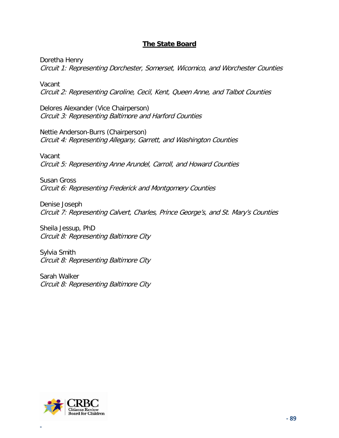# **The State Board**

Doretha Henry Circuit 1: Representing Dorchester, Somerset, Wicomico, and Worchester Counties

Vacant Circuit 2: Representing Caroline, Cecil, Kent, Queen Anne, and Talbot Counties

Delores Alexander (Vice Chairperson) Circuit 3: Representing Baltimore and Harford Counties

Nettie Anderson-Burrs (Chairperson) Circuit 4: Representing Allegany, Garrett, and Washington Counties

Vacant Circuit 5: Representing Anne Arundel, Carroll, and Howard Counties

Susan Gross Circuit 6: Representing Frederick and Montgomery Counties

Denise Joseph Circuit 7: Representing Calvert, Charles, Prince George's, and St. Mary's Counties

Sheila Jessup, PhD Circuit 8: Representing Baltimore City

Sylvia Smith Circuit 8: Representing Baltimore City

Sarah Walker Circuit 8: Representing Baltimore City

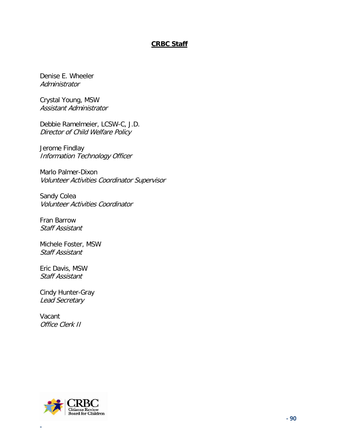### **CRBC Staff**

Denise E. Wheeler **Administrator** 

Crystal Young, MSW Assistant Administrator

Debbie Ramelmeier, LCSW-C, J.D. Director of Child Welfare Policy

Jerome Findlay Information Technology Officer

Marlo Palmer-Dixon Volunteer Activities Coordinator Supervisor

Sandy Colea Volunteer Activities Coordinator

Fran Barrow Staff Assistant

Michele Foster, MSW Staff Assistant

Eric Davis, MSW Staff Assistant

Cindy Hunter-Gray Lead Secretary

Vacant Office Clerk II